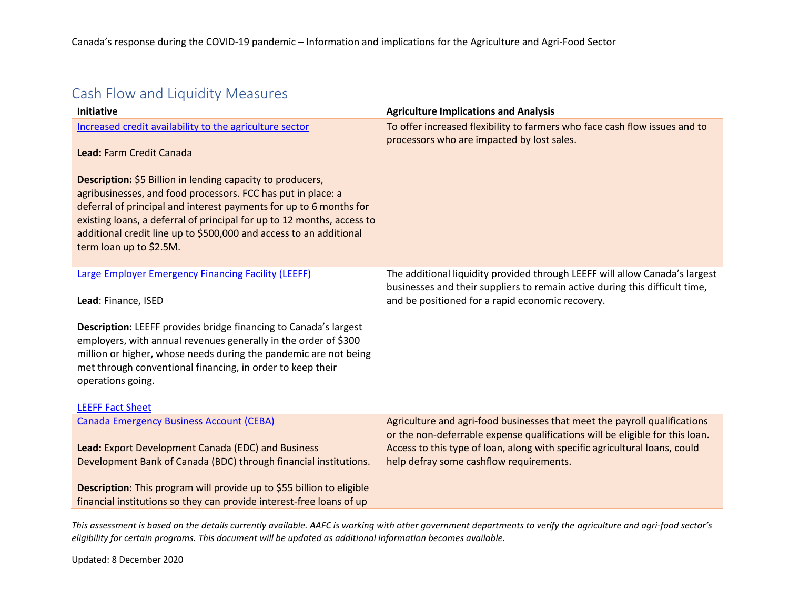## Cash Flow and Liquidity Measures

| <b>Initiative</b>                                                                                                                                                                                                                                                                                                                                                           | <b>Agriculture Implications and Analysis</b>                                                                                                                                                                                                                                       |
|-----------------------------------------------------------------------------------------------------------------------------------------------------------------------------------------------------------------------------------------------------------------------------------------------------------------------------------------------------------------------------|------------------------------------------------------------------------------------------------------------------------------------------------------------------------------------------------------------------------------------------------------------------------------------|
| Increased credit availability to the agriculture sector<br>Lead: Farm Credit Canada                                                                                                                                                                                                                                                                                         | To offer increased flexibility to farmers who face cash flow issues and to<br>processors who are impacted by lost sales.                                                                                                                                                           |
| Description: \$5 Billion in lending capacity to producers,<br>agribusinesses, and food processors. FCC has put in place: a<br>deferral of principal and interest payments for up to 6 months for<br>existing loans, a deferral of principal for up to 12 months, access to<br>additional credit line up to \$500,000 and access to an additional<br>term loan up to \$2.5M. |                                                                                                                                                                                                                                                                                    |
| <b>Large Employer Emergency Financing Facility (LEEFF)</b><br>Lead: Finance, ISED                                                                                                                                                                                                                                                                                           | The additional liquidity provided through LEEFF will allow Canada's largest<br>businesses and their suppliers to remain active during this difficult time,<br>and be positioned for a rapid economic recovery.                                                                     |
| <b>Description:</b> LEEFF provides bridge financing to Canada's largest<br>employers, with annual revenues generally in the order of \$300<br>million or higher, whose needs during the pandemic are not being<br>met through conventional financing, in order to keep their<br>operations going.<br><b>LEEFF Fact Sheet</b>                                                |                                                                                                                                                                                                                                                                                    |
| <b>Canada Emergency Business Account (CEBA)</b><br>Lead: Export Development Canada (EDC) and Business<br>Development Bank of Canada (BDC) through financial institutions.                                                                                                                                                                                                   | Agriculture and agri-food businesses that meet the payroll qualifications<br>or the non-deferrable expense qualifications will be eligible for this loan.<br>Access to this type of loan, along with specific agricultural loans, could<br>help defray some cashflow requirements. |
| Description: This program will provide up to \$55 billion to eligible<br>financial institutions so they can provide interest-free loans of up                                                                                                                                                                                                                               |                                                                                                                                                                                                                                                                                    |

*This assessment is based on the details currently available. AAFC is working with other government departments to verify the agriculture and agri-food sector's eligibility for certain programs. This document will be updated as additional information becomes available.*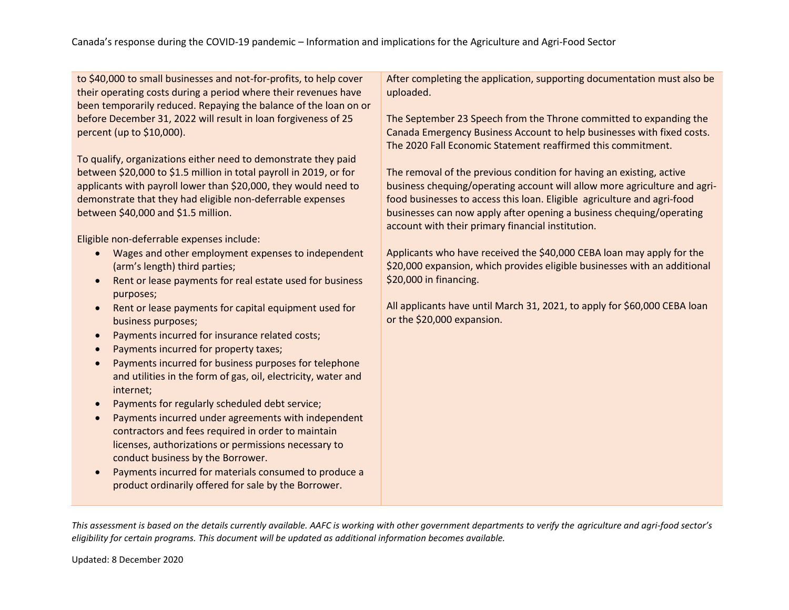| to \$40,000 to small businesses and not-for-profits, to help cover<br>their operating costs during a period where their revenues have | After completing the application, supporting documentation must also be<br>uploaded.                                                                                                                         |
|---------------------------------------------------------------------------------------------------------------------------------------|--------------------------------------------------------------------------------------------------------------------------------------------------------------------------------------------------------------|
| been temporarily reduced. Repaying the balance of the loan on or                                                                      |                                                                                                                                                                                                              |
| before December 31, 2022 will result in loan forgiveness of 25<br>percent (up to \$10,000).                                           | The September 23 Speech from the Throne committed to expanding the<br>Canada Emergency Business Account to help businesses with fixed costs.<br>The 2020 Fall Economic Statement reaffirmed this commitment. |
| To qualify, organizations either need to demonstrate they paid                                                                        |                                                                                                                                                                                                              |
| between \$20,000 to \$1.5 million in total payroll in 2019, or for                                                                    | The removal of the previous condition for having an existing, active                                                                                                                                         |
| applicants with payroll lower than \$20,000, they would need to                                                                       | business chequing/operating account will allow more agriculture and agri-                                                                                                                                    |
| demonstrate that they had eligible non-deferrable expenses                                                                            | food businesses to access this loan. Eligible agriculture and agri-food                                                                                                                                      |
| between \$40,000 and \$1.5 million.                                                                                                   | businesses can now apply after opening a business chequing/operating<br>account with their primary financial institution.                                                                                    |
| Eligible non-deferrable expenses include:                                                                                             |                                                                                                                                                                                                              |
| Wages and other employment expenses to independent<br>$\bullet$<br>(arm's length) third parties;                                      | Applicants who have received the \$40,000 CEBA loan may apply for the<br>\$20,000 expansion, which provides eligible businesses with an additional                                                           |
| Rent or lease payments for real estate used for business<br>$\bullet$<br>purposes;                                                    | \$20,000 in financing.                                                                                                                                                                                       |
| Rent or lease payments for capital equipment used for<br>$\bullet$<br>business purposes;                                              | All applicants have until March 31, 2021, to apply for \$60,000 CEBA loan<br>or the \$20,000 expansion.                                                                                                      |
| Payments incurred for insurance related costs;<br>$\bullet$                                                                           |                                                                                                                                                                                                              |
| Payments incurred for property taxes;<br>$\bullet$                                                                                    |                                                                                                                                                                                                              |
| Payments incurred for business purposes for telephone<br>$\bullet$                                                                    |                                                                                                                                                                                                              |
| and utilities in the form of gas, oil, electricity, water and<br>internet;                                                            |                                                                                                                                                                                                              |
| Payments for regularly scheduled debt service;<br>$\bullet$                                                                           |                                                                                                                                                                                                              |
| Payments incurred under agreements with independent<br>$\bullet$                                                                      |                                                                                                                                                                                                              |
| contractors and fees required in order to maintain                                                                                    |                                                                                                                                                                                                              |
| licenses, authorizations or permissions necessary to                                                                                  |                                                                                                                                                                                                              |
| conduct business by the Borrower.                                                                                                     |                                                                                                                                                                                                              |
| Payments incurred for materials consumed to produce a<br>$\bullet$                                                                    |                                                                                                                                                                                                              |
| product ordinarily offered for sale by the Borrower.                                                                                  |                                                                                                                                                                                                              |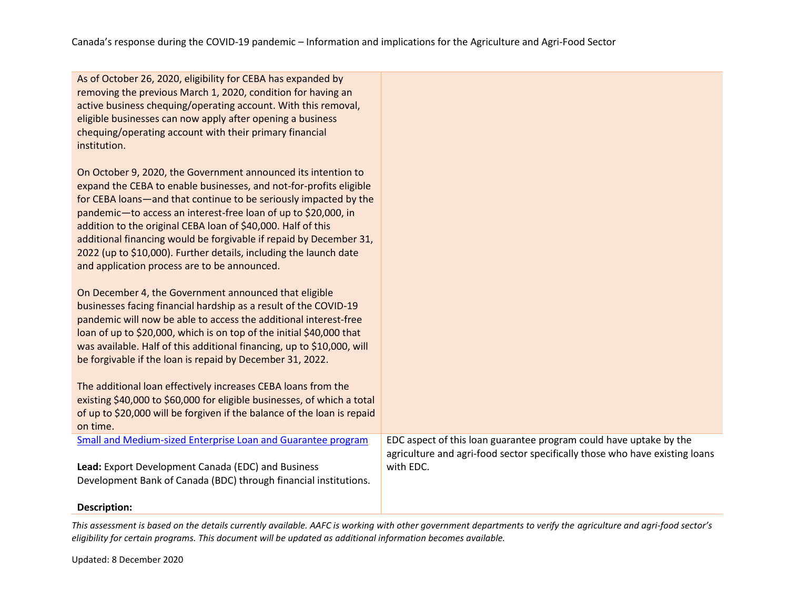| As of October 26, 2020, eligibility for CEBA has expanded by   |
|----------------------------------------------------------------|
| removing the previous March 1, 2020, condition for having an   |
| active business chequing/operating account. With this removal, |
| eligible businesses can now apply after opening a business     |
| chequing/operating account with their primary financial        |
| institution.                                                   |

On October 9, 2020, the Government announced its intention to expand the CEBA to enable businesses, and not-for-profits eligible for CEBA loans—and that continue to be seriously impacted by the pandemic—to access an interest-free loan of up to \$20,000, in addition to the original CEBA loan of \$40,000. Half of this additional financing would be forgivable if repaid by December 31, 2022 (up to \$10,000). Further details, including the launch date and application process are to be announced.

On December 4, the Government announced that eligible businesses facing financial hardship as a result of the COVID-19 pandemic will now be able to access the additional interest-free loan of up to \$20,000, which is on top of the initial \$40,000 that was available. Half of this additional financing, up to \$10,000, will be forgivable if the loan is repaid by December 31, 2022.

**Lead:** Export Development Canada (EDC) and Business

Development Bank of Canada (BDC) through financial institutions.

The additional loan effectively increases CEBA loans from the existing \$40,000 to \$60,000 for eligible businesses, of which a total of up to \$20,000 will be forgiven if the balance of the loan is repaid on time. [Small and Medium-sized Enterprise Loan and Guarantee program](https://www.bdc.ca/en/about/mediaroom/news_releases/pages/new-small-medium-sized-enterprise-loan-guarantee-program-help-ease-access-credit-entrepreneurs-impacted-covid-19.aspx#:~:text=The%20new%20Small%20and%20Medium-sized%20Enterprise%20Loan%20and,these%20businesses%20for%20their%20operational%20cash%20flow%20requirements.)

EDC aspect of this loan guarantee program could have uptake by the agriculture and agri-food sector specifically those who have existing loans with EDC.

#### **Description:**

*This assessment is based on the details currently available. AAFC is working with other government departments to verify the agriculture and agri-food sector's eligibility for certain programs. This document will be updated as additional information becomes available.*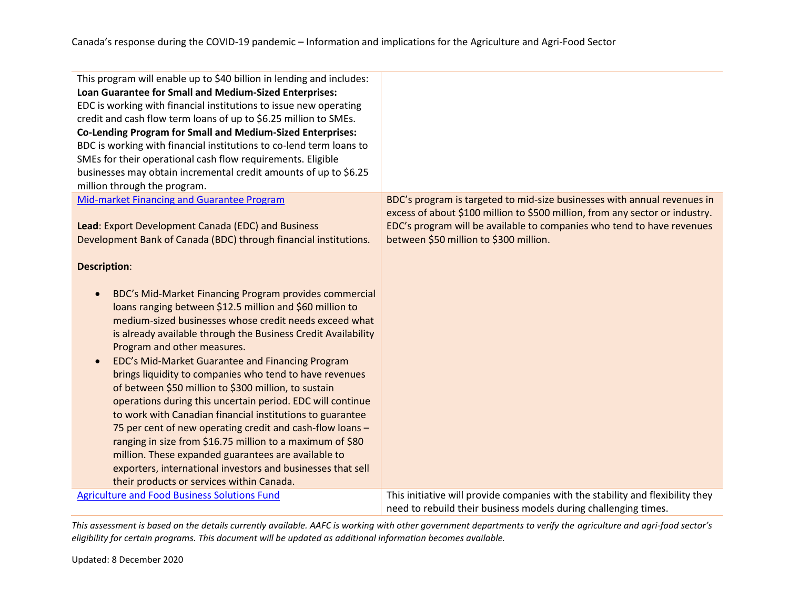| This program will enable up to \$40 billion in lending and includes:<br>Loan Guarantee for Small and Medium-Sized Enterprises:<br>EDC is working with financial institutions to issue new operating<br>credit and cash flow term loans of up to \$6.25 million to SMEs.<br><b>Co-Lending Program for Small and Medium-Sized Enterprises:</b><br>BDC is working with financial institutions to co-lend term loans to<br>SMEs for their operational cash flow requirements. Eligible<br>businesses may obtain incremental credit amounts of up to \$6.25<br>million through the program.                                                                                                                                                                                                                                                                                                                |                                                                                                                                                          |
|-------------------------------------------------------------------------------------------------------------------------------------------------------------------------------------------------------------------------------------------------------------------------------------------------------------------------------------------------------------------------------------------------------------------------------------------------------------------------------------------------------------------------------------------------------------------------------------------------------------------------------------------------------------------------------------------------------------------------------------------------------------------------------------------------------------------------------------------------------------------------------------------------------|----------------------------------------------------------------------------------------------------------------------------------------------------------|
| Mid-market Financing and Guarantee Program                                                                                                                                                                                                                                                                                                                                                                                                                                                                                                                                                                                                                                                                                                                                                                                                                                                            | BDC's program is targeted to mid-size businesses with annual revenues in<br>excess of about \$100 million to \$500 million, from any sector or industry. |
| Lead: Export Development Canada (EDC) and Business<br>Development Bank of Canada (BDC) through financial institutions.                                                                                                                                                                                                                                                                                                                                                                                                                                                                                                                                                                                                                                                                                                                                                                                | EDC's program will be available to companies who tend to have revenues<br>between \$50 million to \$300 million.                                         |
| <b>Description:</b>                                                                                                                                                                                                                                                                                                                                                                                                                                                                                                                                                                                                                                                                                                                                                                                                                                                                                   |                                                                                                                                                          |
| BDC's Mid-Market Financing Program provides commercial<br>$\bullet$<br>loans ranging between \$12.5 million and \$60 million to<br>medium-sized businesses whose credit needs exceed what<br>is already available through the Business Credit Availability<br>Program and other measures.<br>EDC's Mid-Market Guarantee and Financing Program<br>$\bullet$<br>brings liquidity to companies who tend to have revenues<br>of between \$50 million to \$300 million, to sustain<br>operations during this uncertain period. EDC will continue<br>to work with Canadian financial institutions to guarantee<br>75 per cent of new operating credit and cash-flow loans -<br>ranging in size from \$16.75 million to a maximum of \$80<br>million. These expanded guarantees are available to<br>exporters, international investors and businesses that sell<br>their products or services within Canada. |                                                                                                                                                          |
| <b>Agriculture and Food Business Solutions Fund</b>                                                                                                                                                                                                                                                                                                                                                                                                                                                                                                                                                                                                                                                                                                                                                                                                                                                   | This initiative will provide companies with the stability and flexibility they<br>need to rebuild their business models during challenging times.        |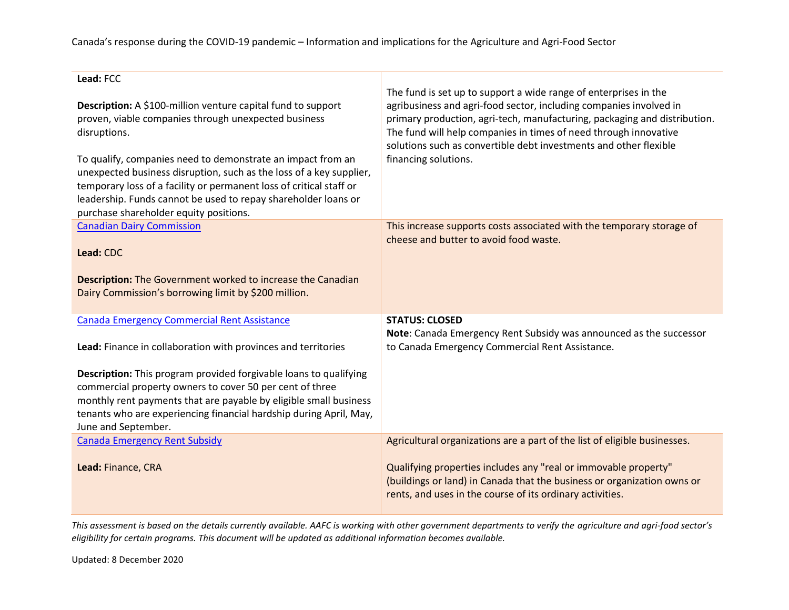Canada's response during the COVID-19 pandemic – Information and implications for the Agriculture and Agri-Food Sector

| Lead: FCC                                                                                                                                                                                                                                                                                       |                                                                                                                                                                                                                                                                                                                                                                                      |
|-------------------------------------------------------------------------------------------------------------------------------------------------------------------------------------------------------------------------------------------------------------------------------------------------|--------------------------------------------------------------------------------------------------------------------------------------------------------------------------------------------------------------------------------------------------------------------------------------------------------------------------------------------------------------------------------------|
| Description: A \$100-million venture capital fund to support<br>proven, viable companies through unexpected business<br>disruptions.<br>To qualify, companies need to demonstrate an impact from an                                                                                             | The fund is set up to support a wide range of enterprises in the<br>agribusiness and agri-food sector, including companies involved in<br>primary production, agri-tech, manufacturing, packaging and distribution.<br>The fund will help companies in times of need through innovative<br>solutions such as convertible debt investments and other flexible<br>financing solutions. |
| unexpected business disruption, such as the loss of a key supplier,<br>temporary loss of a facility or permanent loss of critical staff or<br>leadership. Funds cannot be used to repay shareholder loans or<br>purchase shareholder equity positions.                                          |                                                                                                                                                                                                                                                                                                                                                                                      |
| <b>Canadian Dairy Commission</b><br>Lead: CDC                                                                                                                                                                                                                                                   | This increase supports costs associated with the temporary storage of<br>cheese and butter to avoid food waste.                                                                                                                                                                                                                                                                      |
| <b>Description:</b> The Government worked to increase the Canadian<br>Dairy Commission's borrowing limit by \$200 million.                                                                                                                                                                      |                                                                                                                                                                                                                                                                                                                                                                                      |
| <b>Canada Emergency Commercial Rent Assistance</b>                                                                                                                                                                                                                                              | <b>STATUS: CLOSED</b>                                                                                                                                                                                                                                                                                                                                                                |
| Lead: Finance in collaboration with provinces and territories                                                                                                                                                                                                                                   | Note: Canada Emergency Rent Subsidy was announced as the successor<br>to Canada Emergency Commercial Rent Assistance.                                                                                                                                                                                                                                                                |
| Description: This program provided forgivable loans to qualifying<br>commercial property owners to cover 50 per cent of three<br>monthly rent payments that are payable by eligible small business<br>tenants who are experiencing financial hardship during April, May,<br>June and September. |                                                                                                                                                                                                                                                                                                                                                                                      |
| <b>Canada Emergency Rent Subsidy</b>                                                                                                                                                                                                                                                            | Agricultural organizations are a part of the list of eligible businesses.                                                                                                                                                                                                                                                                                                            |
| Lead: Finance, CRA                                                                                                                                                                                                                                                                              | Qualifying properties includes any "real or immovable property"<br>(buildings or land) in Canada that the business or organization owns or<br>rents, and uses in the course of its ordinary activities.                                                                                                                                                                              |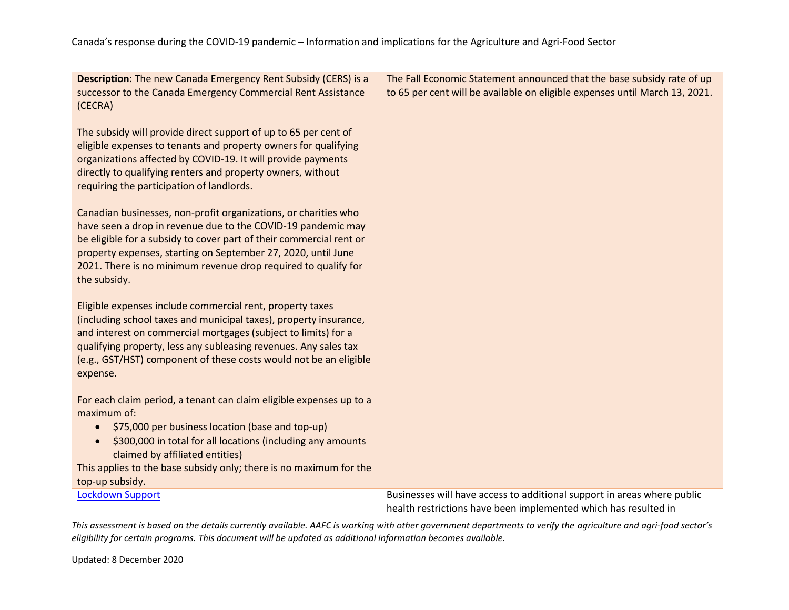| <b>Description:</b> The new Canada Emergency Rent Subsidy (CERS) is a<br>successor to the Canada Emergency Commercial Rent Assistance<br>(CECRA)                                                                                                                                                                                                          | The Fall Economic Statement announced that the base subsidy rate of up<br>to 65 per cent will be available on eligible expenses until March 13, 2021. |
|-----------------------------------------------------------------------------------------------------------------------------------------------------------------------------------------------------------------------------------------------------------------------------------------------------------------------------------------------------------|-------------------------------------------------------------------------------------------------------------------------------------------------------|
| The subsidy will provide direct support of up to 65 per cent of<br>eligible expenses to tenants and property owners for qualifying<br>organizations affected by COVID-19. It will provide payments<br>directly to qualifying renters and property owners, without<br>requiring the participation of landlords.                                            |                                                                                                                                                       |
| Canadian businesses, non-profit organizations, or charities who<br>have seen a drop in revenue due to the COVID-19 pandemic may<br>be eligible for a subsidy to cover part of their commercial rent or<br>property expenses, starting on September 27, 2020, until June<br>2021. There is no minimum revenue drop required to qualify for<br>the subsidy. |                                                                                                                                                       |
| Eligible expenses include commercial rent, property taxes<br>(including school taxes and municipal taxes), property insurance,<br>and interest on commercial mortgages (subject to limits) for a<br>qualifying property, less any subleasing revenues. Any sales tax<br>(e.g., GST/HST) component of these costs would not be an eligible<br>expense.     |                                                                                                                                                       |
| For each claim period, a tenant can claim eligible expenses up to a<br>maximum of:<br>\$75,000 per business location (base and top-up)<br>$\bullet$<br>\$300,000 in total for all locations (including any amounts<br>claimed by affiliated entities)<br>This applies to the base subsidy only; there is no maximum for the<br>top-up subsidy.            |                                                                                                                                                       |
| <b>Lockdown Support</b>                                                                                                                                                                                                                                                                                                                                   | Businesses will have access to additional support in areas where public<br>health restrictions have been implemented which has resulted in            |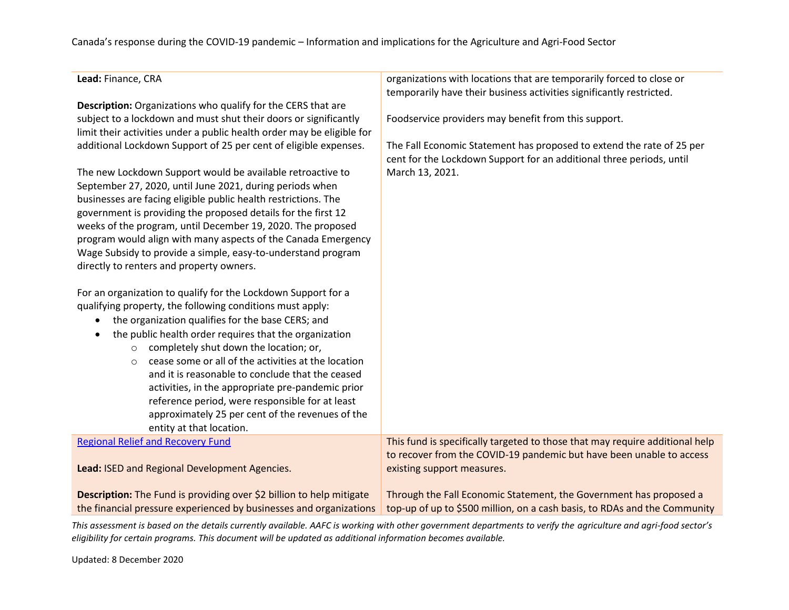### Canada's response during the COVID-19 pandemic – Information and implications for the Agriculture and Agri-Food Sector

| Lead: Finance, CRA                                                                                                                                                                                                                                                                                                                                                                                                                                                                                                                                                                                           | organizations with locations that are temporarily forced to close or<br>temporarily have their business activities significantly restricted.  |
|--------------------------------------------------------------------------------------------------------------------------------------------------------------------------------------------------------------------------------------------------------------------------------------------------------------------------------------------------------------------------------------------------------------------------------------------------------------------------------------------------------------------------------------------------------------------------------------------------------------|-----------------------------------------------------------------------------------------------------------------------------------------------|
| Description: Organizations who qualify for the CERS that are                                                                                                                                                                                                                                                                                                                                                                                                                                                                                                                                                 |                                                                                                                                               |
| subject to a lockdown and must shut their doors or significantly<br>limit their activities under a public health order may be eligible for                                                                                                                                                                                                                                                                                                                                                                                                                                                                   | Foodservice providers may benefit from this support.                                                                                          |
| additional Lockdown Support of 25 per cent of eligible expenses.                                                                                                                                                                                                                                                                                                                                                                                                                                                                                                                                             | The Fall Economic Statement has proposed to extend the rate of 25 per<br>cent for the Lockdown Support for an additional three periods, until |
| The new Lockdown Support would be available retroactive to                                                                                                                                                                                                                                                                                                                                                                                                                                                                                                                                                   | March 13, 2021.                                                                                                                               |
| September 27, 2020, until June 2021, during periods when                                                                                                                                                                                                                                                                                                                                                                                                                                                                                                                                                     |                                                                                                                                               |
| businesses are facing eligible public health restrictions. The                                                                                                                                                                                                                                                                                                                                                                                                                                                                                                                                               |                                                                                                                                               |
| government is providing the proposed details for the first 12                                                                                                                                                                                                                                                                                                                                                                                                                                                                                                                                                |                                                                                                                                               |
| weeks of the program, until December 19, 2020. The proposed                                                                                                                                                                                                                                                                                                                                                                                                                                                                                                                                                  |                                                                                                                                               |
| program would align with many aspects of the Canada Emergency                                                                                                                                                                                                                                                                                                                                                                                                                                                                                                                                                |                                                                                                                                               |
|                                                                                                                                                                                                                                                                                                                                                                                                                                                                                                                                                                                                              |                                                                                                                                               |
| Wage Subsidy to provide a simple, easy-to-understand program                                                                                                                                                                                                                                                                                                                                                                                                                                                                                                                                                 |                                                                                                                                               |
| directly to renters and property owners.                                                                                                                                                                                                                                                                                                                                                                                                                                                                                                                                                                     |                                                                                                                                               |
| For an organization to qualify for the Lockdown Support for a<br>qualifying property, the following conditions must apply:<br>the organization qualifies for the base CERS; and<br>the public health order requires that the organization<br>completely shut down the location; or,<br>$\circ$<br>cease some or all of the activities at the location<br>$\circ$<br>and it is reasonable to conclude that the ceased<br>activities, in the appropriate pre-pandemic prior<br>reference period, were responsible for at least<br>approximately 25 per cent of the revenues of the<br>entity at that location. |                                                                                                                                               |
| <b>Regional Relief and Recovery Fund</b>                                                                                                                                                                                                                                                                                                                                                                                                                                                                                                                                                                     | This fund is specifically targeted to those that may require additional help                                                                  |
|                                                                                                                                                                                                                                                                                                                                                                                                                                                                                                                                                                                                              | to recover from the COVID-19 pandemic but have been unable to access                                                                          |
| Lead: ISED and Regional Development Agencies.                                                                                                                                                                                                                                                                                                                                                                                                                                                                                                                                                                | existing support measures.                                                                                                                    |
|                                                                                                                                                                                                                                                                                                                                                                                                                                                                                                                                                                                                              |                                                                                                                                               |
| Description: The Fund is providing over \$2 billion to help mitigate                                                                                                                                                                                                                                                                                                                                                                                                                                                                                                                                         | Through the Fall Economic Statement, the Government has proposed a                                                                            |
| the financial pressure experienced by businesses and organizations                                                                                                                                                                                                                                                                                                                                                                                                                                                                                                                                           | top-up of up to \$500 million, on a cash basis, to RDAs and the Community                                                                     |

*This assessment is based on the details currently available. AAFC is working with other government departments to verify the agriculture and agri-food sector's eligibility for certain programs. This document will be updated as additional information becomes available.*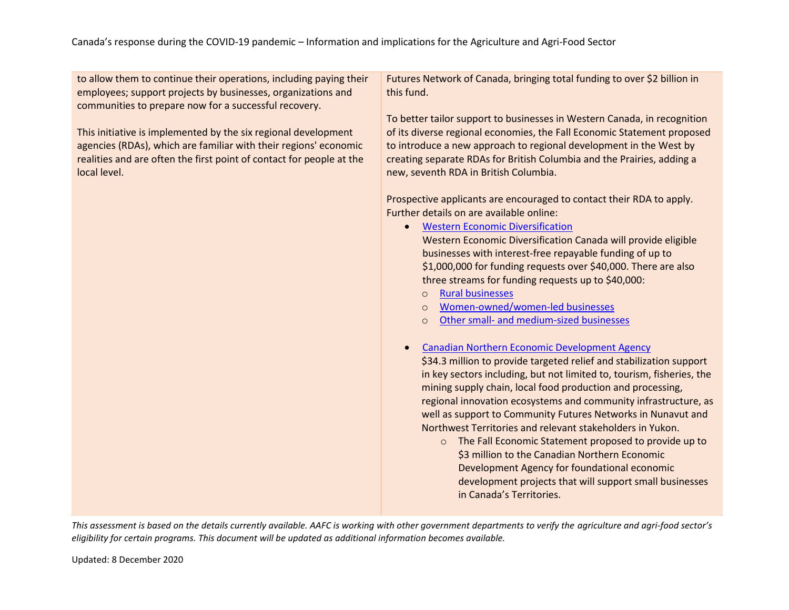| to allow them to continue their operations, including paying their<br>employees; support projects by businesses, organizations and<br>communities to prepare now for a successful recovery.                                | Futures Network of Canada, bringing total funding to over \$2 billion in<br>this fund.<br>To better tailor support to businesses in Western Canada, in recognition                                                                                                                                                                                                                                                                                                                                                                                                                                                                                                                                                                                                                                                                                                                                                                                                                                                                                                                                                                                                                                                                                                                               |
|----------------------------------------------------------------------------------------------------------------------------------------------------------------------------------------------------------------------------|--------------------------------------------------------------------------------------------------------------------------------------------------------------------------------------------------------------------------------------------------------------------------------------------------------------------------------------------------------------------------------------------------------------------------------------------------------------------------------------------------------------------------------------------------------------------------------------------------------------------------------------------------------------------------------------------------------------------------------------------------------------------------------------------------------------------------------------------------------------------------------------------------------------------------------------------------------------------------------------------------------------------------------------------------------------------------------------------------------------------------------------------------------------------------------------------------------------------------------------------------------------------------------------------------|
| This initiative is implemented by the six regional development<br>agencies (RDAs), which are familiar with their regions' economic<br>realities and are often the first point of contact for people at the<br>local level. | of its diverse regional economies, the Fall Economic Statement proposed<br>to introduce a new approach to regional development in the West by<br>creating separate RDAs for British Columbia and the Prairies, adding a<br>new, seventh RDA in British Columbia.                                                                                                                                                                                                                                                                                                                                                                                                                                                                                                                                                                                                                                                                                                                                                                                                                                                                                                                                                                                                                                 |
|                                                                                                                                                                                                                            | Prospective applicants are encouraged to contact their RDA to apply.<br>Further details on are available online:<br><b>Western Economic Diversification</b><br>Western Economic Diversification Canada will provide eligible<br>businesses with interest-free repayable funding of up to<br>\$1,000,000 for funding requests over \$40,000. There are also<br>three streams for funding requests up to \$40,000:<br><b>Rural businesses</b><br>$\Omega$<br>Women-owned/women-led businesses<br>$\circ$<br>Other small- and medium-sized businesses<br>$\Omega$<br><b>Canadian Northern Economic Development Agency</b><br>\$34.3 million to provide targeted relief and stabilization support<br>in key sectors including, but not limited to, tourism, fisheries, the<br>mining supply chain, local food production and processing,<br>regional innovation ecosystems and community infrastructure, as<br>well as support to Community Futures Networks in Nunavut and<br>Northwest Territories and relevant stakeholders in Yukon.<br>The Fall Economic Statement proposed to provide up to<br>$\circ$<br>\$3 million to the Canadian Northern Economic<br>Development Agency for foundational economic<br>development projects that will support small businesses<br>in Canada's Territories. |
|                                                                                                                                                                                                                            |                                                                                                                                                                                                                                                                                                                                                                                                                                                                                                                                                                                                                                                                                                                                                                                                                                                                                                                                                                                                                                                                                                                                                                                                                                                                                                  |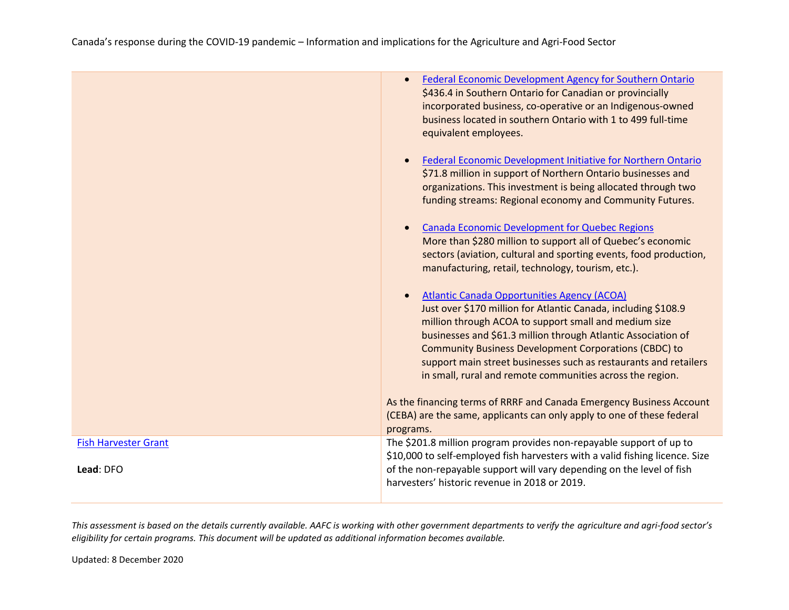|                             | Federal Economic Development Agency for Southern Ontario<br>\$436.4 in Southern Ontario for Canadian or provincially<br>incorporated business, co-operative or an Indigenous-owned<br>business located in southern Ontario with 1 to 499 full-time<br>equivalent employees.                                                                                                                                                                     |
|-----------------------------|-------------------------------------------------------------------------------------------------------------------------------------------------------------------------------------------------------------------------------------------------------------------------------------------------------------------------------------------------------------------------------------------------------------------------------------------------|
|                             | Federal Economic Development Initiative for Northern Ontario<br>\$71.8 million in support of Northern Ontario businesses and<br>organizations. This investment is being allocated through two<br>funding streams: Regional economy and Community Futures.                                                                                                                                                                                       |
|                             | <b>Canada Economic Development for Quebec Regions</b><br>More than \$280 million to support all of Quebec's economic<br>sectors (aviation, cultural and sporting events, food production,<br>manufacturing, retail, technology, tourism, etc.).                                                                                                                                                                                                 |
|                             | <b>Atlantic Canada Opportunities Agency (ACOA)</b><br>Just over \$170 million for Atlantic Canada, including \$108.9<br>million through ACOA to support small and medium size<br>businesses and \$61.3 million through Atlantic Association of<br><b>Community Business Development Corporations (CBDC) to</b><br>support main street businesses such as restaurants and retailers<br>in small, rural and remote communities across the region. |
|                             | As the financing terms of RRRF and Canada Emergency Business Account<br>(CEBA) are the same, applicants can only apply to one of these federal<br>programs.                                                                                                                                                                                                                                                                                     |
| <b>Fish Harvester Grant</b> | The \$201.8 million program provides non-repayable support of up to<br>\$10,000 to self-employed fish harvesters with a valid fishing licence. Size                                                                                                                                                                                                                                                                                             |
| Lead: DFO                   | of the non-repayable support will vary depending on the level of fish<br>harvesters' historic revenue in 2018 or 2019.                                                                                                                                                                                                                                                                                                                          |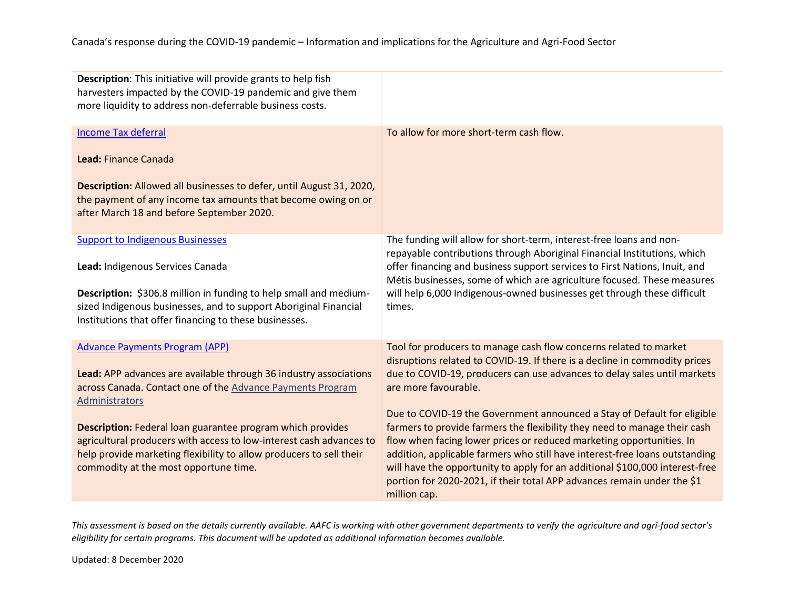| <b>Description:</b> This initiative will provide grants to help fish<br>harvesters impacted by the COVID-19 pandemic and give them<br>more liquidity to address non-deferrable business costs.                                                                                                                                                                                                                                                         |                                                                                                                                                                                                                                                                                                                                                                                                                                                                                                                                                                                                                                                                                                                                               |
|--------------------------------------------------------------------------------------------------------------------------------------------------------------------------------------------------------------------------------------------------------------------------------------------------------------------------------------------------------------------------------------------------------------------------------------------------------|-----------------------------------------------------------------------------------------------------------------------------------------------------------------------------------------------------------------------------------------------------------------------------------------------------------------------------------------------------------------------------------------------------------------------------------------------------------------------------------------------------------------------------------------------------------------------------------------------------------------------------------------------------------------------------------------------------------------------------------------------|
| <b>Income Tax deferral</b><br>Lead: Finance Canada<br>Description: Allowed all businesses to defer, until August 31, 2020,<br>the payment of any income tax amounts that become owing on or<br>after March 18 and before September 2020.                                                                                                                                                                                                               | To allow for more short-term cash flow.                                                                                                                                                                                                                                                                                                                                                                                                                                                                                                                                                                                                                                                                                                       |
| <b>Support to Indigenous Businesses</b><br>Lead: Indigenous Services Canada<br>Description: \$306.8 million in funding to help small and medium-<br>sized Indigenous businesses, and to support Aboriginal Financial<br>Institutions that offer financing to these businesses.                                                                                                                                                                         | The funding will allow for short-term, interest-free loans and non-<br>repayable contributions through Aboriginal Financial Institutions, which<br>offer financing and business support services to First Nations, Inuit, and<br>Métis businesses, some of which are agriculture focused. These measures<br>will help 6,000 Indigenous-owned businesses get through these difficult<br>times.                                                                                                                                                                                                                                                                                                                                                 |
| <b>Advance Payments Program (APP)</b><br>Lead: APP advances are available through 36 industry associations<br>across Canada. Contact one of the Advance Payments Program<br><b>Administrators</b><br>Description: Federal loan guarantee program which provides<br>agricultural producers with access to low-interest cash advances to<br>help provide marketing flexibility to allow producers to sell their<br>commodity at the most opportune time. | Tool for producers to manage cash flow concerns related to market<br>disruptions related to COVID-19. If there is a decline in commodity prices<br>due to COVID-19, producers can use advances to delay sales until markets<br>are more favourable.<br>Due to COVID-19 the Government announced a Stay of Default for eligible<br>farmers to provide farmers the flexibility they need to manage their cash<br>flow when facing lower prices or reduced marketing opportunities. In<br>addition, applicable farmers who still have interest-free loans outstanding<br>will have the opportunity to apply for an additional \$100,000 interest-free<br>portion for 2020-2021, if their total APP advances remain under the \$1<br>million cap. |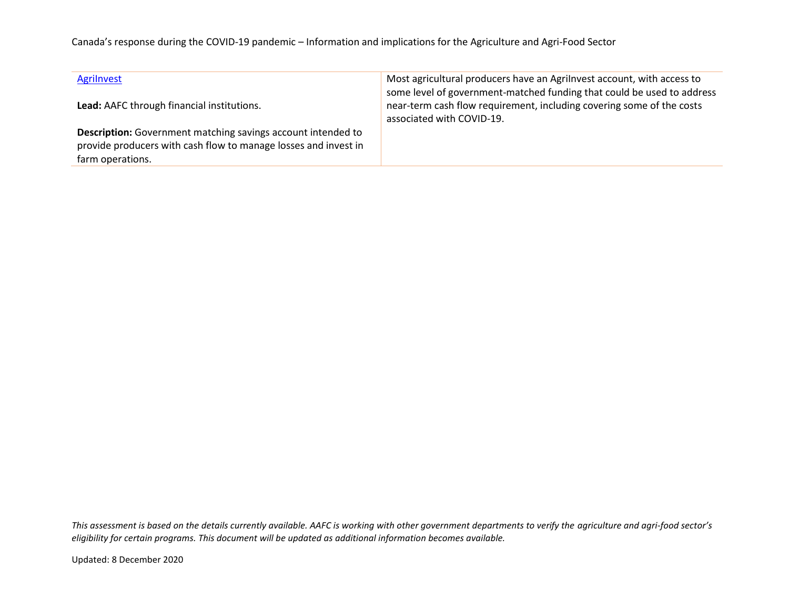### Canada's response during the COVID-19 pandemic – Information and implications for the Agriculture and Agri-Food Sector

| Agrilnvest                                                          | Most agricultural producers have an Agrilnvest account, with access to<br>some level of government-matched funding that could be used to address |
|---------------------------------------------------------------------|--------------------------------------------------------------------------------------------------------------------------------------------------|
| Lead: AAFC through financial institutions.                          | near-term cash flow requirement, including covering some of the costs<br>associated with COVID-19.                                               |
| <b>Description:</b> Government matching savings account intended to |                                                                                                                                                  |
| provide producers with cash flow to manage losses and invest in     |                                                                                                                                                  |
| farm operations.                                                    |                                                                                                                                                  |

*This assessment is based on the details currently available. AAFC is working with other government departments to verify the agriculture and agri-food sector's eligibility for certain programs. This document will be updated as additional information becomes available.*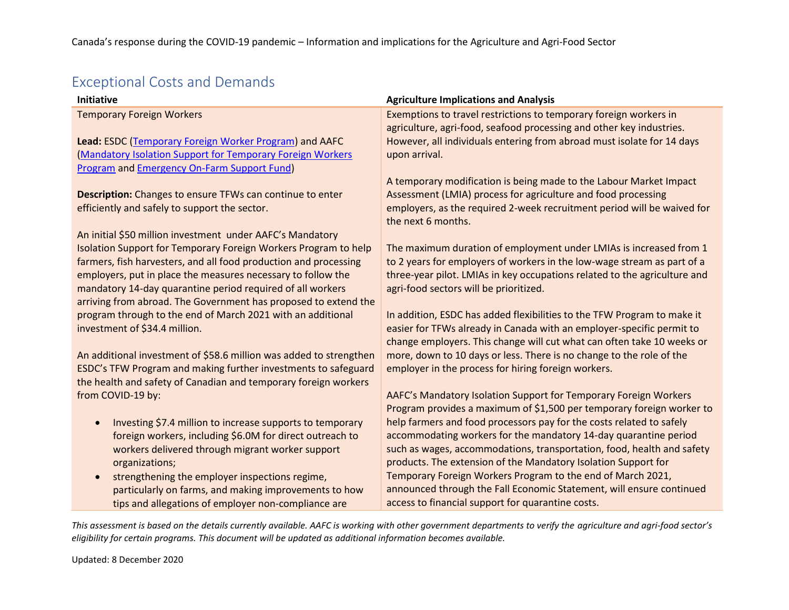## Exceptional Costs and Demands

| <b>Initiative</b>                                                  | <b>Agriculture Implications and Analysis</b>                                                  |
|--------------------------------------------------------------------|-----------------------------------------------------------------------------------------------|
| <b>Temporary Foreign Workers</b>                                   | Exemptions to travel restrictions to temporary foreign workers in                             |
|                                                                    | agriculture, agri-food, seafood processing and other key industries.                          |
| Lead: ESDC (Temporary Foreign Worker Program) and AAFC             | However, all individuals entering from abroad must isolate for 14 days                        |
| (Mandatory Isolation Support for Temporary Foreign Workers         | upon arrival.                                                                                 |
| <b>Program and Emergency On-Farm Support Fund)</b>                 |                                                                                               |
|                                                                    | A temporary modification is being made to the Labour Market Impact                            |
| <b>Description:</b> Changes to ensure TFWs can continue to enter   | Assessment (LMIA) process for agriculture and food processing                                 |
| efficiently and safely to support the sector.                      | employers, as the required 2-week recruitment period will be waived for<br>the next 6 months. |
| An initial \$50 million investment under AAFC's Mandatory          |                                                                                               |
| Isolation Support for Temporary Foreign Workers Program to help    | The maximum duration of employment under LMIAs is increased from 1                            |
| farmers, fish harvesters, and all food production and processing   | to 2 years for employers of workers in the low-wage stream as part of a                       |
| employers, put in place the measures necessary to follow the       | three-year pilot. LMIAs in key occupations related to the agriculture and                     |
| mandatory 14-day quarantine period required of all workers         | agri-food sectors will be prioritized.                                                        |
| arriving from abroad. The Government has proposed to extend the    |                                                                                               |
| program through to the end of March 2021 with an additional        | In addition, ESDC has added flexibilities to the TFW Program to make it                       |
| investment of \$34.4 million.                                      | easier for TFWs already in Canada with an employer-specific permit to                         |
|                                                                    | change employers. This change will cut what can often take 10 weeks or                        |
| An additional investment of \$58.6 million was added to strengthen | more, down to 10 days or less. There is no change to the role of the                          |
| ESDC's TFW Program and making further investments to safeguard     | employer in the process for hiring foreign workers.                                           |
| the health and safety of Canadian and temporary foreign workers    |                                                                                               |
| from COVID-19 by:                                                  | AAFC's Mandatory Isolation Support for Temporary Foreign Workers                              |
|                                                                    | Program provides a maximum of \$1,500 per temporary foreign worker to                         |
| Investing \$7.4 million to increase supports to temporary          | help farmers and food processors pay for the costs related to safely                          |
| foreign workers, including \$6.0M for direct outreach to           | accommodating workers for the mandatory 14-day quarantine period                              |
| workers delivered through migrant worker support                   | such as wages, accommodations, transportation, food, health and safety                        |
| organizations;                                                     | products. The extension of the Mandatory Isolation Support for                                |
| strengthening the employer inspections regime,                     | Temporary Foreign Workers Program to the end of March 2021,                                   |
| particularly on farms, and making improvements to how              | announced through the Fall Economic Statement, will ensure continued                          |
| tips and allegations of employer non-compliance are                | access to financial support for quarantine costs.                                             |

*This assessment is based on the details currently available. AAFC is working with other government departments to verify the agriculture and agri-food sector's eligibility for certain programs. This document will be updated as additional information becomes available.*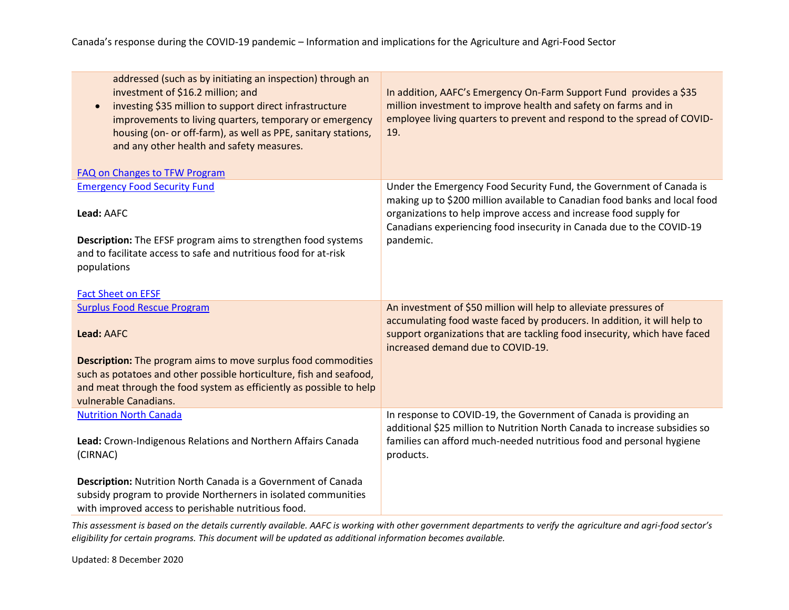| addressed (such as by initiating an inspection) through an<br>investment of \$16.2 million; and<br>investing \$35 million to support direct infrastructure<br>$\bullet$<br>improvements to living quarters, temporary or emergency<br>housing (on- or off-farm), as well as PPE, sanitary stations,<br>and any other health and safety measures.<br><b>FAQ on Changes to TFW Program</b> | In addition, AAFC's Emergency On-Farm Support Fund provides a \$35<br>million investment to improve health and safety on farms and in<br>employee living quarters to prevent and respond to the spread of COVID-<br>19.                                                                                     |
|------------------------------------------------------------------------------------------------------------------------------------------------------------------------------------------------------------------------------------------------------------------------------------------------------------------------------------------------------------------------------------------|-------------------------------------------------------------------------------------------------------------------------------------------------------------------------------------------------------------------------------------------------------------------------------------------------------------|
| <b>Emergency Food Security Fund</b><br>Lead: AAFC<br><b>Description:</b> The EFSF program aims to strengthen food systems<br>and to facilitate access to safe and nutritious food for at-risk<br>populations<br><b>Fact Sheet on EFSF</b>                                                                                                                                                | Under the Emergency Food Security Fund, the Government of Canada is<br>making up to \$200 million available to Canadian food banks and local food<br>organizations to help improve access and increase food supply for<br>Canadians experiencing food insecurity in Canada due to the COVID-19<br>pandemic. |
| <b>Surplus Food Rescue Program</b><br>Lead: AAFC<br><b>Description:</b> The program aims to move surplus food commodities<br>such as potatoes and other possible horticulture, fish and seafood,<br>and meat through the food system as efficiently as possible to help<br>vulnerable Canadians.                                                                                         | An investment of \$50 million will help to alleviate pressures of<br>accumulating food waste faced by producers. In addition, it will help to<br>support organizations that are tackling food insecurity, which have faced<br>increased demand due to COVID-19.                                             |
| <b>Nutrition North Canada</b><br>Lead: Crown-Indigenous Relations and Northern Affairs Canada<br>(CIRNAC)<br>Description: Nutrition North Canada is a Government of Canada<br>subsidy program to provide Northerners in isolated communities<br>with improved access to perishable nutritious food.                                                                                      | In response to COVID-19, the Government of Canada is providing an<br>additional \$25 million to Nutrition North Canada to increase subsidies so<br>families can afford much-needed nutritious food and personal hygiene<br>products.                                                                        |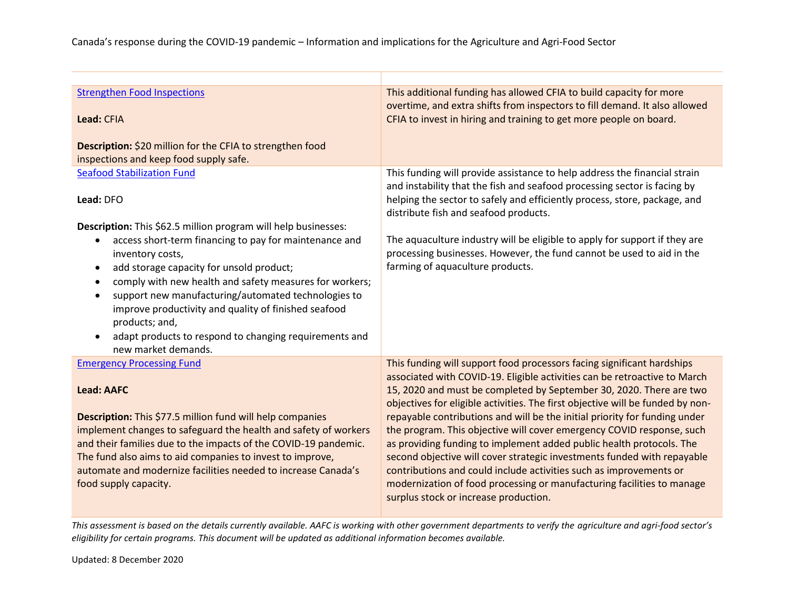| <b>Strengthen Food Inspections</b><br>Lead: CFIA<br>Description: \$20 million for the CFIA to strengthen food                                                                                                                                                                                                                                                                                                                                                                                                                           | This additional funding has allowed CFIA to build capacity for more<br>overtime, and extra shifts from inspectors to fill demand. It also allowed<br>CFIA to invest in hiring and training to get more people on board.                                                                                                                                                                                                                                                                                                                                                                                                                                                                                                                                                                                         |
|-----------------------------------------------------------------------------------------------------------------------------------------------------------------------------------------------------------------------------------------------------------------------------------------------------------------------------------------------------------------------------------------------------------------------------------------------------------------------------------------------------------------------------------------|-----------------------------------------------------------------------------------------------------------------------------------------------------------------------------------------------------------------------------------------------------------------------------------------------------------------------------------------------------------------------------------------------------------------------------------------------------------------------------------------------------------------------------------------------------------------------------------------------------------------------------------------------------------------------------------------------------------------------------------------------------------------------------------------------------------------|
| inspections and keep food supply safe.                                                                                                                                                                                                                                                                                                                                                                                                                                                                                                  |                                                                                                                                                                                                                                                                                                                                                                                                                                                                                                                                                                                                                                                                                                                                                                                                                 |
| <b>Seafood Stabilization Fund</b><br>Lead: DFO<br>Description: This \$62.5 million program will help businesses:<br>access short-term financing to pay for maintenance and<br>inventory costs,<br>add storage capacity for unsold product;<br>$\bullet$<br>comply with new health and safety measures for workers;<br>$\bullet$<br>support new manufacturing/automated technologies to<br>improve productivity and quality of finished seafood<br>products; and,<br>adapt products to respond to changing requirements and<br>$\bullet$ | This funding will provide assistance to help address the financial strain<br>and instability that the fish and seafood processing sector is facing by<br>helping the sector to safely and efficiently process, store, package, and<br>distribute fish and seafood products.<br>The aquaculture industry will be eligible to apply for support if they are<br>processing businesses. However, the fund cannot be used to aid in the<br>farming of aquaculture products.                                                                                                                                                                                                                                                                                                                                          |
| new market demands.                                                                                                                                                                                                                                                                                                                                                                                                                                                                                                                     |                                                                                                                                                                                                                                                                                                                                                                                                                                                                                                                                                                                                                                                                                                                                                                                                                 |
| <b>Emergency Processing Fund</b><br><b>Lead: AAFC</b><br>Description: This \$77.5 million fund will help companies<br>implement changes to safeguard the health and safety of workers<br>and their families due to the impacts of the COVID-19 pandemic.<br>The fund also aims to aid companies to invest to improve,<br>automate and modernize facilities needed to increase Canada's<br>food supply capacity.                                                                                                                         | This funding will support food processors facing significant hardships<br>associated with COVID-19. Eligible activities can be retroactive to March<br>15, 2020 and must be completed by September 30, 2020. There are two<br>objectives for eligible activities. The first objective will be funded by non-<br>repayable contributions and will be the initial priority for funding under<br>the program. This objective will cover emergency COVID response, such<br>as providing funding to implement added public health protocols. The<br>second objective will cover strategic investments funded with repayable<br>contributions and could include activities such as improvements or<br>modernization of food processing or manufacturing facilities to manage<br>surplus stock or increase production. |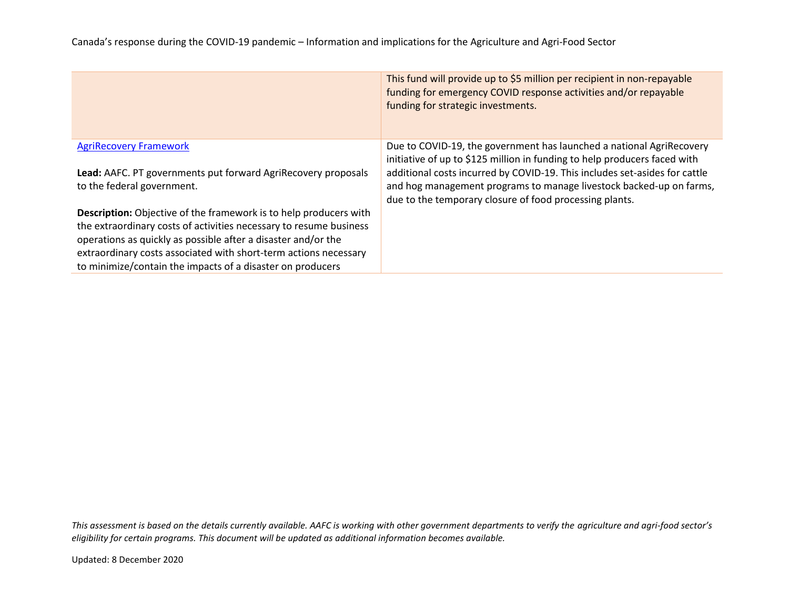|                                                                          | This fund will provide up to \$5 million per recipient in non-repayable<br>funding for emergency COVID response activities and/or repayable<br>funding for strategic investments. |
|--------------------------------------------------------------------------|-----------------------------------------------------------------------------------------------------------------------------------------------------------------------------------|
| <b>AgriRecovery Framework</b>                                            | Due to COVID-19, the government has launched a national AgriRecovery<br>initiative of up to \$125 million in funding to help producers faced with                                 |
| Lead: AAFC. PT governments put forward AgriRecovery proposals            | additional costs incurred by COVID-19. This includes set-asides for cattle                                                                                                        |
| to the federal government.                                               | and hog management programs to manage livestock backed-up on farms,<br>due to the temporary closure of food processing plants.                                                    |
| <b>Description:</b> Objective of the framework is to help producers with |                                                                                                                                                                                   |
| the extraordinary costs of activities necessary to resume business       |                                                                                                                                                                                   |
| operations as quickly as possible after a disaster and/or the            |                                                                                                                                                                                   |
| extraordinary costs associated with short-term actions necessary         |                                                                                                                                                                                   |
| to minimize/contain the impacts of a disaster on producers               |                                                                                                                                                                                   |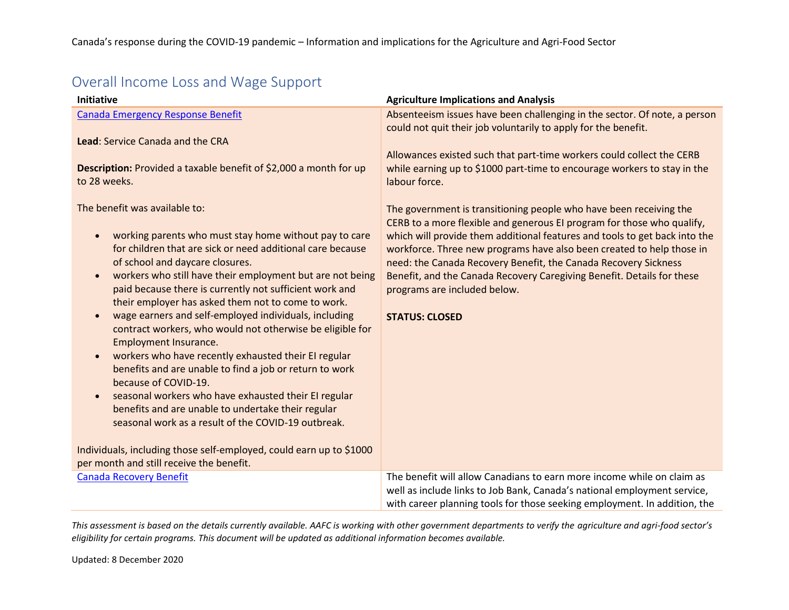| <b>Initiative</b>                                                                                                                                                                                                                                                                                                                                                                                                                                                                                                                                                                                                                                                                                                                                                                                                                                                                                                                                                                                                         | <b>Agriculture Implications and Analysis</b>                                                                                                                                                                                                                                                                                                                                                                                                                                                              |
|---------------------------------------------------------------------------------------------------------------------------------------------------------------------------------------------------------------------------------------------------------------------------------------------------------------------------------------------------------------------------------------------------------------------------------------------------------------------------------------------------------------------------------------------------------------------------------------------------------------------------------------------------------------------------------------------------------------------------------------------------------------------------------------------------------------------------------------------------------------------------------------------------------------------------------------------------------------------------------------------------------------------------|-----------------------------------------------------------------------------------------------------------------------------------------------------------------------------------------------------------------------------------------------------------------------------------------------------------------------------------------------------------------------------------------------------------------------------------------------------------------------------------------------------------|
| <b>Canada Emergency Response Benefit</b>                                                                                                                                                                                                                                                                                                                                                                                                                                                                                                                                                                                                                                                                                                                                                                                                                                                                                                                                                                                  | Absenteeism issues have been challenging in the sector. Of note, a person                                                                                                                                                                                                                                                                                                                                                                                                                                 |
| Lead: Service Canada and the CRA<br>Description: Provided a taxable benefit of \$2,000 a month for up<br>to 28 weeks.                                                                                                                                                                                                                                                                                                                                                                                                                                                                                                                                                                                                                                                                                                                                                                                                                                                                                                     | could not quit their job voluntarily to apply for the benefit.<br>Allowances existed such that part-time workers could collect the CERB<br>while earning up to \$1000 part-time to encourage workers to stay in the<br>labour force.                                                                                                                                                                                                                                                                      |
| The benefit was available to:<br>working parents who must stay home without pay to care<br>$\bullet$<br>for children that are sick or need additional care because<br>of school and daycare closures.<br>workers who still have their employment but are not being<br>$\bullet$<br>paid because there is currently not sufficient work and<br>their employer has asked them not to come to work.<br>wage earners and self-employed individuals, including<br>$\bullet$<br>contract workers, who would not otherwise be eligible for<br>Employment Insurance.<br>workers who have recently exhausted their EI regular<br>$\bullet$<br>benefits and are unable to find a job or return to work<br>because of COVID-19.<br>seasonal workers who have exhausted their EI regular<br>$\bullet$<br>benefits and are unable to undertake their regular<br>seasonal work as a result of the COVID-19 outbreak.<br>Individuals, including those self-employed, could earn up to \$1000<br>per month and still receive the benefit. | The government is transitioning people who have been receiving the<br>CERB to a more flexible and generous EI program for those who qualify,<br>which will provide them additional features and tools to get back into the<br>workforce. Three new programs have also been created to help those in<br>need: the Canada Recovery Benefit, the Canada Recovery Sickness<br>Benefit, and the Canada Recovery Caregiving Benefit. Details for these<br>programs are included below.<br><b>STATUS: CLOSED</b> |
| <b>Canada Recovery Benefit</b>                                                                                                                                                                                                                                                                                                                                                                                                                                                                                                                                                                                                                                                                                                                                                                                                                                                                                                                                                                                            | The benefit will allow Canadians to earn more income while on claim as                                                                                                                                                                                                                                                                                                                                                                                                                                    |
|                                                                                                                                                                                                                                                                                                                                                                                                                                                                                                                                                                                                                                                                                                                                                                                                                                                                                                                                                                                                                           | well as include links to Job Bank, Canada's national employment service,<br>with career planning tools for those seeking employment. In addition, the                                                                                                                                                                                                                                                                                                                                                     |

## Overall Income Loss and Wage Support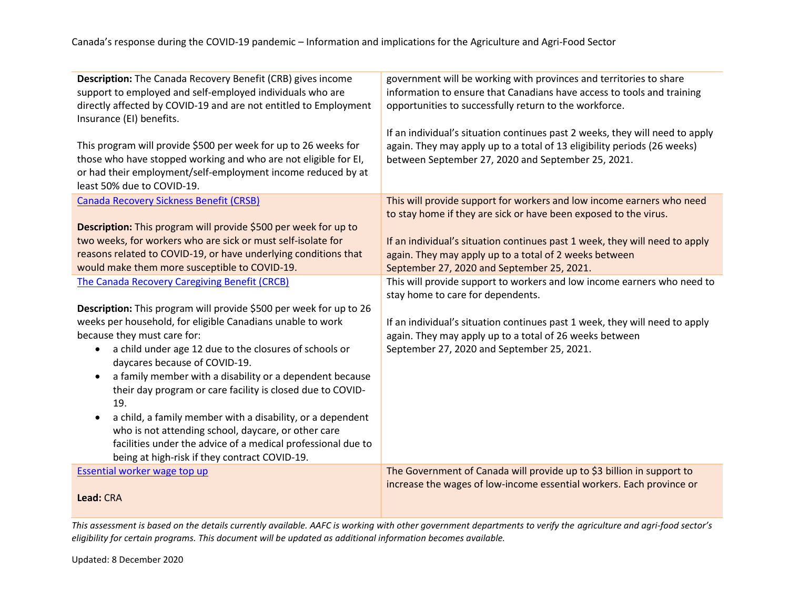| Description: The Canada Recovery Benefit (CRB) gives income<br>support to employed and self-employed individuals who are<br>directly affected by COVID-19 and are not entitled to Employment<br>Insurance (EI) benefits.<br>This program will provide \$500 per week for up to 26 weeks for<br>those who have stopped working and who are not eligible for EI,<br>or had their employment/self-employment income reduced by at<br>least 50% due to COVID-19.                                                                                                                                                                                                             | government will be working with provinces and territories to share<br>information to ensure that Canadians have access to tools and training<br>opportunities to successfully return to the workforce.<br>If an individual's situation continues past 2 weeks, they will need to apply<br>again. They may apply up to a total of 13 eligibility periods (26 weeks)<br>between September 27, 2020 and September 25, 2021. |
|--------------------------------------------------------------------------------------------------------------------------------------------------------------------------------------------------------------------------------------------------------------------------------------------------------------------------------------------------------------------------------------------------------------------------------------------------------------------------------------------------------------------------------------------------------------------------------------------------------------------------------------------------------------------------|--------------------------------------------------------------------------------------------------------------------------------------------------------------------------------------------------------------------------------------------------------------------------------------------------------------------------------------------------------------------------------------------------------------------------|
| <b>Canada Recovery Sickness Benefit (CRSB)</b>                                                                                                                                                                                                                                                                                                                                                                                                                                                                                                                                                                                                                           | This will provide support for workers and low income earners who need                                                                                                                                                                                                                                                                                                                                                    |
| Description: This program will provide \$500 per week for up to                                                                                                                                                                                                                                                                                                                                                                                                                                                                                                                                                                                                          | to stay home if they are sick or have been exposed to the virus.                                                                                                                                                                                                                                                                                                                                                         |
| two weeks, for workers who are sick or must self-isolate for                                                                                                                                                                                                                                                                                                                                                                                                                                                                                                                                                                                                             | If an individual's situation continues past 1 week, they will need to apply                                                                                                                                                                                                                                                                                                                                              |
| reasons related to COVID-19, or have underlying conditions that                                                                                                                                                                                                                                                                                                                                                                                                                                                                                                                                                                                                          | again. They may apply up to a total of 2 weeks between                                                                                                                                                                                                                                                                                                                                                                   |
| would make them more susceptible to COVID-19.                                                                                                                                                                                                                                                                                                                                                                                                                                                                                                                                                                                                                            | September 27, 2020 and September 25, 2021.                                                                                                                                                                                                                                                                                                                                                                               |
| <b>The Canada Recovery Caregiving Benefit (CRCB)</b>                                                                                                                                                                                                                                                                                                                                                                                                                                                                                                                                                                                                                     | This will provide support to workers and low income earners who need to                                                                                                                                                                                                                                                                                                                                                  |
| Description: This program will provide \$500 per week for up to 26<br>weeks per household, for eligible Canadians unable to work<br>because they must care for:<br>a child under age 12 due to the closures of schools or<br>$\bullet$<br>daycares because of COVID-19.<br>a family member with a disability or a dependent because<br>$\bullet$<br>their day program or care facility is closed due to COVID-<br>19.<br>a child, a family member with a disability, or a dependent<br>$\bullet$<br>who is not attending school, daycare, or other care<br>facilities under the advice of a medical professional due to<br>being at high-risk if they contract COVID-19. | stay home to care for dependents.<br>If an individual's situation continues past 1 week, they will need to apply<br>again. They may apply up to a total of 26 weeks between<br>September 27, 2020 and September 25, 2021.                                                                                                                                                                                                |
| <b>Essential worker wage top up</b>                                                                                                                                                                                                                                                                                                                                                                                                                                                                                                                                                                                                                                      | The Government of Canada will provide up to \$3 billion in support to                                                                                                                                                                                                                                                                                                                                                    |
| Lead: CRA                                                                                                                                                                                                                                                                                                                                                                                                                                                                                                                                                                                                                                                                | increase the wages of low-income essential workers. Each province or                                                                                                                                                                                                                                                                                                                                                     |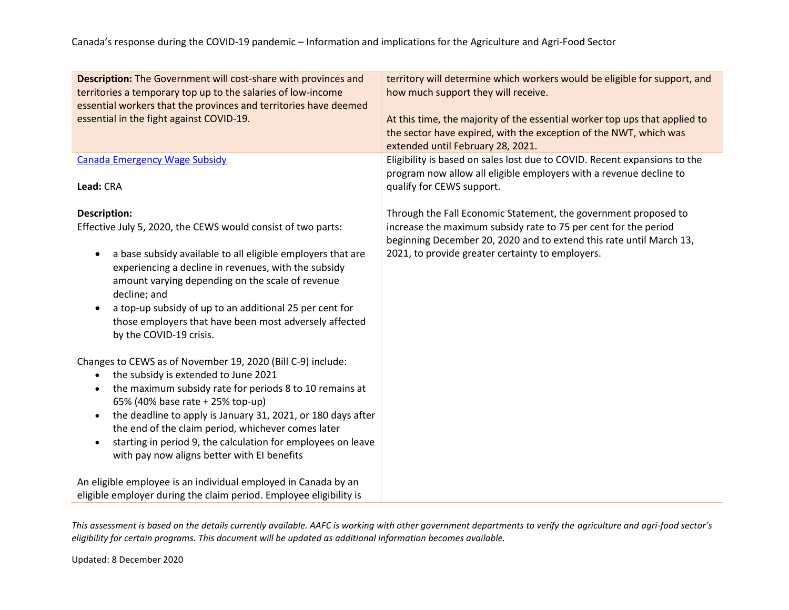| <b>Description:</b> The Government will cost-share with provinces and<br>territories a temporary top up to the salaries of low-income<br>essential workers that the provinces and territories have deemed<br>essential in the fight against COVID-19.                                                                                                                                                                                                                               | territory will determine which workers would be eligible for support, and<br>how much support they will receive.<br>At this time, the majority of the essential worker top ups that applied to<br>the sector have expired, with the exception of the NWT, which was<br>extended until February 28, 2021. |
|-------------------------------------------------------------------------------------------------------------------------------------------------------------------------------------------------------------------------------------------------------------------------------------------------------------------------------------------------------------------------------------------------------------------------------------------------------------------------------------|----------------------------------------------------------------------------------------------------------------------------------------------------------------------------------------------------------------------------------------------------------------------------------------------------------|
| <b>Canada Emergency Wage Subsidy</b><br>Lead: CRA                                                                                                                                                                                                                                                                                                                                                                                                                                   | Eligibility is based on sales lost due to COVID. Recent expansions to the<br>program now allow all eligible employers with a revenue decline to                                                                                                                                                          |
|                                                                                                                                                                                                                                                                                                                                                                                                                                                                                     | qualify for CEWS support.                                                                                                                                                                                                                                                                                |
| Description:<br>Effective July 5, 2020, the CEWS would consist of two parts:<br>a base subsidy available to all eligible employers that are<br>$\bullet$<br>experiencing a decline in revenues, with the subsidy<br>amount varying depending on the scale of revenue<br>decline; and<br>a top-up subsidy of up to an additional 25 per cent for<br>$\bullet$<br>those employers that have been most adversely affected<br>by the COVID-19 crisis.                                   | Through the Fall Economic Statement, the government proposed to<br>increase the maximum subsidy rate to 75 per cent for the period<br>beginning December 20, 2020 and to extend this rate until March 13,<br>2021, to provide greater certainty to employers.                                            |
| Changes to CEWS as of November 19, 2020 (Bill C-9) include:<br>the subsidy is extended to June 2021<br>$\bullet$<br>the maximum subsidy rate for periods 8 to 10 remains at<br>٠<br>65% (40% base rate + 25% top-up)<br>the deadline to apply is January 31, 2021, or 180 days after<br>$\bullet$<br>the end of the claim period, whichever comes later<br>starting in period 9, the calculation for employees on leave<br>$\bullet$<br>with pay now aligns better with EI benefits |                                                                                                                                                                                                                                                                                                          |
| An eligible employee is an individual employed in Canada by an<br>eligible employer during the claim period. Employee eligibility is                                                                                                                                                                                                                                                                                                                                                |                                                                                                                                                                                                                                                                                                          |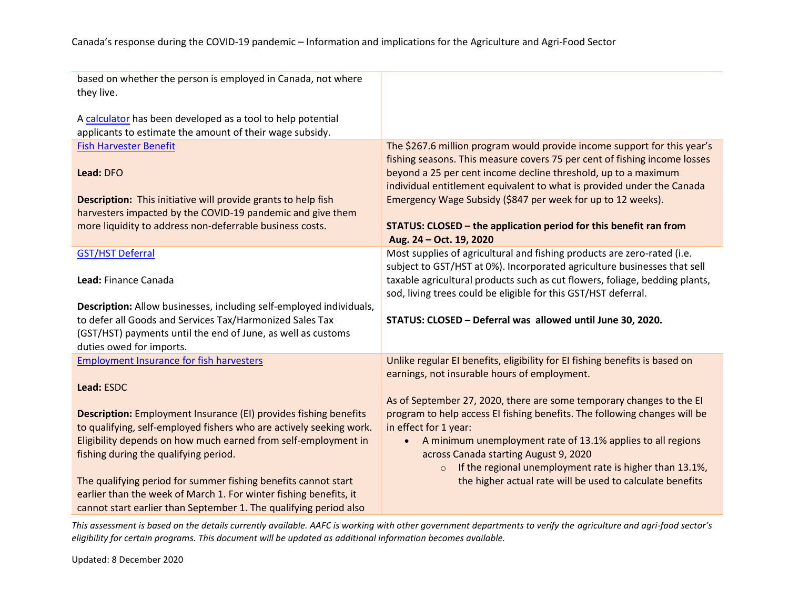| based on whether the person is employed in Canada, not where<br>they live.<br>A calculator has been developed as a tool to help potential<br>applicants to estimate the amount of their wage subsidy. |                                                                                                                                                       |
|-------------------------------------------------------------------------------------------------------------------------------------------------------------------------------------------------------|-------------------------------------------------------------------------------------------------------------------------------------------------------|
| <b>Fish Harvester Benefit</b>                                                                                                                                                                         | The \$267.6 million program would provide income support for this year's<br>fishing seasons. This measure covers 75 per cent of fishing income losses |
| Lead: DFO                                                                                                                                                                                             | beyond a 25 per cent income decline threshold, up to a maximum<br>individual entitlement equivalent to what is provided under the Canada              |
| <b>Description:</b> This initiative will provide grants to help fish<br>harvesters impacted by the COVID-19 pandemic and give them                                                                    | Emergency Wage Subsidy (\$847 per week for up to 12 weeks).                                                                                           |
| more liquidity to address non-deferrable business costs.                                                                                                                                              | STATUS: CLOSED - the application period for this benefit ran from<br>Aug. 24 - Oct. 19, 2020                                                          |
| <b>GST/HST Deferral</b>                                                                                                                                                                               | Most supplies of agricultural and fishing products are zero-rated (i.e.<br>subject to GST/HST at 0%). Incorporated agriculture businesses that sell   |
| Lead: Finance Canada                                                                                                                                                                                  | taxable agricultural products such as cut flowers, foliage, bedding plants,<br>sod, living trees could be eligible for this GST/HST deferral.         |
| Description: Allow businesses, including self-employed individuals,                                                                                                                                   |                                                                                                                                                       |
| to defer all Goods and Services Tax/Harmonized Sales Tax                                                                                                                                              | STATUS: CLOSED - Deferral was allowed until June 30, 2020.                                                                                            |
| (GST/HST) payments until the end of June, as well as customs                                                                                                                                          |                                                                                                                                                       |
| duties owed for imports.                                                                                                                                                                              |                                                                                                                                                       |
| <b>Employment Insurance for fish harvesters</b>                                                                                                                                                       | Unlike regular EI benefits, eligibility for EI fishing benefits is based on                                                                           |
|                                                                                                                                                                                                       | earnings, not insurable hours of employment.                                                                                                          |
| Lead: ESDC                                                                                                                                                                                            |                                                                                                                                                       |
|                                                                                                                                                                                                       | As of September 27, 2020, there are some temporary changes to the EI                                                                                  |
| <b>Description:</b> Employment Insurance (EI) provides fishing benefits<br>to qualifying, self-employed fishers who are actively seeking work.                                                        | program to help access EI fishing benefits. The following changes will be<br>in effect for 1 year:                                                    |
| Eligibility depends on how much earned from self-employment in                                                                                                                                        | A minimum unemployment rate of 13.1% applies to all regions<br>$\bullet$                                                                              |
| fishing during the qualifying period.                                                                                                                                                                 | across Canada starting August 9, 2020                                                                                                                 |
|                                                                                                                                                                                                       | If the regional unemployment rate is higher than 13.1%,<br>$\circ$                                                                                    |
| The qualifying period for summer fishing benefits cannot start                                                                                                                                        | the higher actual rate will be used to calculate benefits                                                                                             |
| earlier than the week of March 1. For winter fishing benefits, it                                                                                                                                     |                                                                                                                                                       |
| cannot start earlier than September 1. The qualifying period also                                                                                                                                     |                                                                                                                                                       |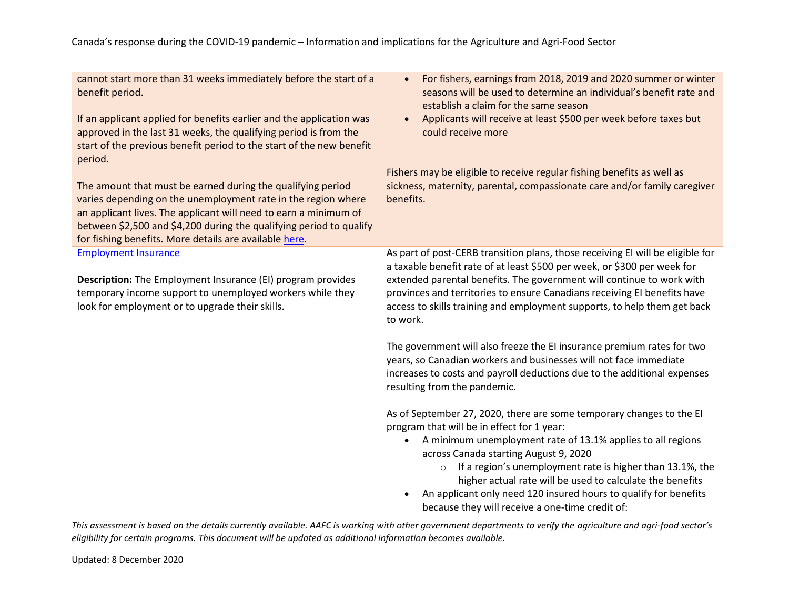| cannot start more than 31 weeks immediately before the start of a<br>benefit period.<br>If an applicant applied for benefits earlier and the application was<br>approved in the last 31 weeks, the qualifying period is from the<br>start of the previous benefit period to the start of the new benefit<br>period.<br>The amount that must be earned during the qualifying period<br>varies depending on the unemployment rate in the region where<br>an applicant lives. The applicant will need to earn a minimum of<br>between \$2,500 and \$4,200 during the qualifying period to qualify<br>for fishing benefits. More details are available here. | For fishers, earnings from 2018, 2019 and 2020 summer or winter<br>$\bullet$<br>seasons will be used to determine an individual's benefit rate and<br>establish a claim for the same season<br>Applicants will receive at least \$500 per week before taxes but<br>$\bullet$<br>could receive more<br>Fishers may be eligible to receive regular fishing benefits as well as<br>sickness, maternity, parental, compassionate care and/or family caregiver<br>benefits.                                                                                                                                                                                                                                                                                                                                                                                                                                                                                                                                                                                                                                                                                                    |
|----------------------------------------------------------------------------------------------------------------------------------------------------------------------------------------------------------------------------------------------------------------------------------------------------------------------------------------------------------------------------------------------------------------------------------------------------------------------------------------------------------------------------------------------------------------------------------------------------------------------------------------------------------|---------------------------------------------------------------------------------------------------------------------------------------------------------------------------------------------------------------------------------------------------------------------------------------------------------------------------------------------------------------------------------------------------------------------------------------------------------------------------------------------------------------------------------------------------------------------------------------------------------------------------------------------------------------------------------------------------------------------------------------------------------------------------------------------------------------------------------------------------------------------------------------------------------------------------------------------------------------------------------------------------------------------------------------------------------------------------------------------------------------------------------------------------------------------------|
| <b>Employment Insurance</b><br><b>Description:</b> The Employment Insurance (EI) program provides<br>temporary income support to unemployed workers while they<br>look for employment or to upgrade their skills.                                                                                                                                                                                                                                                                                                                                                                                                                                        | As part of post-CERB transition plans, those receiving EI will be eligible for<br>a taxable benefit rate of at least \$500 per week, or \$300 per week for<br>extended parental benefits. The government will continue to work with<br>provinces and territories to ensure Canadians receiving EI benefits have<br>access to skills training and employment supports, to help them get back<br>to work.<br>The government will also freeze the EI insurance premium rates for two<br>years, so Canadian workers and businesses will not face immediate<br>increases to costs and payroll deductions due to the additional expenses<br>resulting from the pandemic.<br>As of September 27, 2020, there are some temporary changes to the EI<br>program that will be in effect for 1 year:<br>A minimum unemployment rate of 13.1% applies to all regions<br>$\bullet$<br>across Canada starting August 9, 2020<br>If a region's unemployment rate is higher than 13.1%, the<br>$\circ$<br>higher actual rate will be used to calculate the benefits<br>An applicant only need 120 insured hours to qualify for benefits<br>because they will receive a one-time credit of: |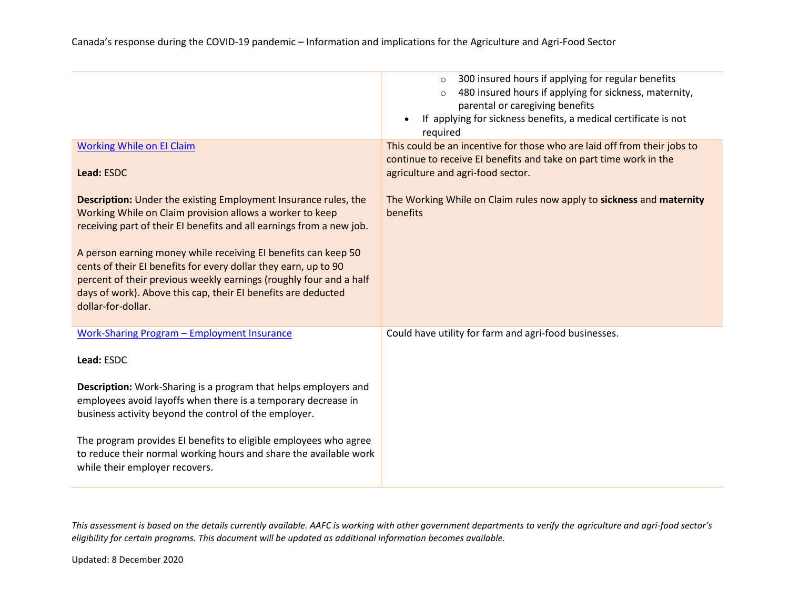|                                                                                                                                                                                                                                                                                                                                                                                                                                                                                                              | 300 insured hours if applying for regular benefits<br>$\circ$<br>480 insured hours if applying for sickness, maternity,<br>$\circ$<br>parental or caregiving benefits<br>If applying for sickness benefits, a medical certificate is not<br>$\bullet$<br>required |
|--------------------------------------------------------------------------------------------------------------------------------------------------------------------------------------------------------------------------------------------------------------------------------------------------------------------------------------------------------------------------------------------------------------------------------------------------------------------------------------------------------------|-------------------------------------------------------------------------------------------------------------------------------------------------------------------------------------------------------------------------------------------------------------------|
| <b>Working While on El Claim</b><br>Lead: ESDC                                                                                                                                                                                                                                                                                                                                                                                                                                                               | This could be an incentive for those who are laid off from their jobs to<br>continue to receive EI benefits and take on part time work in the<br>agriculture and agri-food sector.                                                                                |
| <b>Description:</b> Under the existing Employment Insurance rules, the<br>Working While on Claim provision allows a worker to keep<br>receiving part of their EI benefits and all earnings from a new job.<br>A person earning money while receiving EI benefits can keep 50<br>cents of their EI benefits for every dollar they earn, up to 90<br>percent of their previous weekly earnings (roughly four and a half<br>days of work). Above this cap, their EI benefits are deducted<br>dollar-for-dollar. | The Working While on Claim rules now apply to sickness and maternity<br>benefits                                                                                                                                                                                  |
| <b>Work-Sharing Program - Employment Insurance</b><br>Lead: ESDC                                                                                                                                                                                                                                                                                                                                                                                                                                             | Could have utility for farm and agri-food businesses.                                                                                                                                                                                                             |
| <b>Description:</b> Work-Sharing is a program that helps employers and<br>employees avoid layoffs when there is a temporary decrease in<br>business activity beyond the control of the employer.                                                                                                                                                                                                                                                                                                             |                                                                                                                                                                                                                                                                   |
| The program provides EI benefits to eligible employees who agree<br>to reduce their normal working hours and share the available work<br>while their employer recovers.                                                                                                                                                                                                                                                                                                                                      |                                                                                                                                                                                                                                                                   |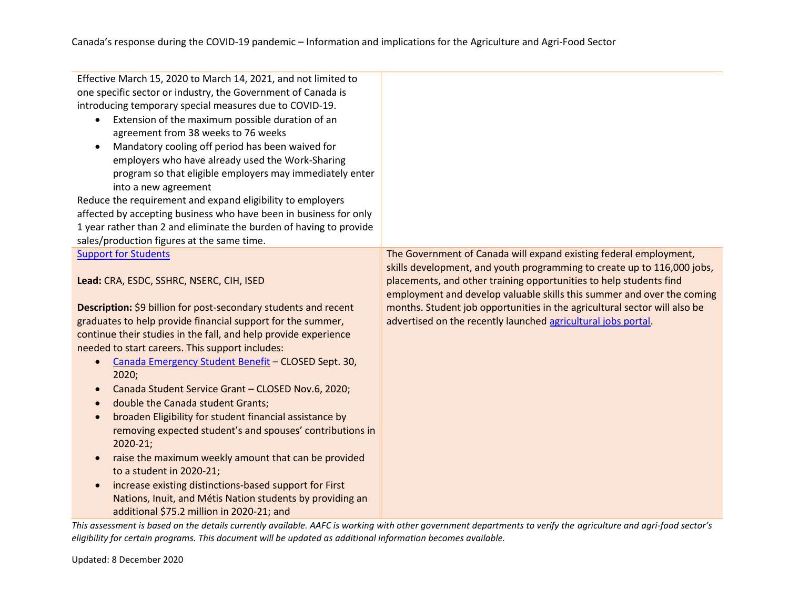| Effective March 15, 2020 to March 14, 2021, and not limited to<br>one specific sector or industry, the Government of Canada is<br>introducing temporary special measures due to COVID-19.<br>Extension of the maximum possible duration of an<br>agreement from 38 weeks to 76 weeks<br>Mandatory cooling off period has been waived for<br>$\bullet$<br>employers who have already used the Work-Sharing<br>program so that eligible employers may immediately enter<br>into a new agreement<br>Reduce the requirement and expand eligibility to employers<br>affected by accepting business who have been in business for only<br>1 year rather than 2 and eliminate the burden of having to provide<br>sales/production figures at the same time. |                                                                                                                                                                                                                                                                                                                                                                       |
|------------------------------------------------------------------------------------------------------------------------------------------------------------------------------------------------------------------------------------------------------------------------------------------------------------------------------------------------------------------------------------------------------------------------------------------------------------------------------------------------------------------------------------------------------------------------------------------------------------------------------------------------------------------------------------------------------------------------------------------------------|-----------------------------------------------------------------------------------------------------------------------------------------------------------------------------------------------------------------------------------------------------------------------------------------------------------------------------------------------------------------------|
| <b>Support for Students</b>                                                                                                                                                                                                                                                                                                                                                                                                                                                                                                                                                                                                                                                                                                                          | The Government of Canada will expand existing federal employment,                                                                                                                                                                                                                                                                                                     |
| Lead: CRA, ESDC, SSHRC, NSERC, CIH, ISED<br>Description: \$9 billion for post-secondary students and recent<br>graduates to help provide financial support for the summer,<br>continue their studies in the fall, and help provide experience<br>needed to start careers. This support includes:<br>Canada Emergency Student Benefit - CLOSED Sept. 30,<br>$\bullet$<br>2020;<br>Canada Student Service Grant - CLOSED Nov.6, 2020;<br>$\bullet$<br>double the Canada student Grants;<br>$\bullet$<br>broaden Eligibility for student financial assistance by<br>$\bullet$<br>removing expected student's and spouses' contributions in<br>2020-21;<br>raise the maximum weekly amount that can be provided<br>$\bullet$<br>to a student in 2020-21; | skills development, and youth programming to create up to 116,000 jobs,<br>placements, and other training opportunities to help students find<br>employment and develop valuable skills this summer and over the coming<br>months. Student job opportunities in the agricultural sector will also be<br>advertised on the recently launched agricultural jobs portal. |
|                                                                                                                                                                                                                                                                                                                                                                                                                                                                                                                                                                                                                                                                                                                                                      |                                                                                                                                                                                                                                                                                                                                                                       |
| increase existing distinctions-based support for First<br>$\bullet$                                                                                                                                                                                                                                                                                                                                                                                                                                                                                                                                                                                                                                                                                  |                                                                                                                                                                                                                                                                                                                                                                       |
| Nations, Inuit, and Métis Nation students by providing an                                                                                                                                                                                                                                                                                                                                                                                                                                                                                                                                                                                                                                                                                            |                                                                                                                                                                                                                                                                                                                                                                       |
| additional \$75.2 million in 2020-21; and                                                                                                                                                                                                                                                                                                                                                                                                                                                                                                                                                                                                                                                                                                            |                                                                                                                                                                                                                                                                                                                                                                       |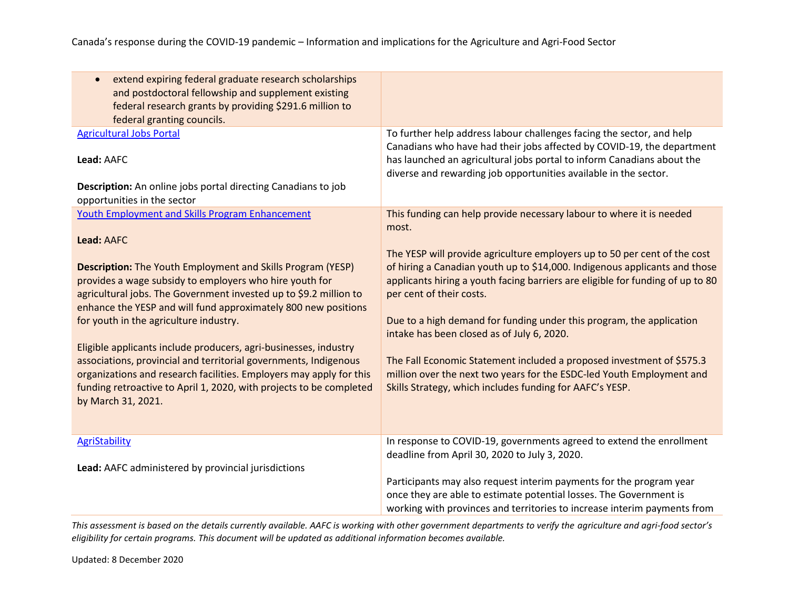| extend expiring federal graduate research scholarships<br>and postdoctoral fellowship and supplement existing<br>federal research grants by providing \$291.6 million to                                                                                                                                                                                                                                                                                                                                                                                                                                                                                                                           |                                                                                                                                                                                                                                                                                                                                                                                                                                                                                                                                                                                                                                                                                            |
|----------------------------------------------------------------------------------------------------------------------------------------------------------------------------------------------------------------------------------------------------------------------------------------------------------------------------------------------------------------------------------------------------------------------------------------------------------------------------------------------------------------------------------------------------------------------------------------------------------------------------------------------------------------------------------------------------|--------------------------------------------------------------------------------------------------------------------------------------------------------------------------------------------------------------------------------------------------------------------------------------------------------------------------------------------------------------------------------------------------------------------------------------------------------------------------------------------------------------------------------------------------------------------------------------------------------------------------------------------------------------------------------------------|
| federal granting councils.                                                                                                                                                                                                                                                                                                                                                                                                                                                                                                                                                                                                                                                                         |                                                                                                                                                                                                                                                                                                                                                                                                                                                                                                                                                                                                                                                                                            |
| <b>Agricultural Jobs Portal</b><br>Lead: AAFC<br>Description: An online jobs portal directing Canadians to job<br>opportunities in the sector                                                                                                                                                                                                                                                                                                                                                                                                                                                                                                                                                      | To further help address labour challenges facing the sector, and help<br>Canadians who have had their jobs affected by COVID-19, the department<br>has launched an agricultural jobs portal to inform Canadians about the<br>diverse and rewarding job opportunities available in the sector.                                                                                                                                                                                                                                                                                                                                                                                              |
| <b>Youth Employment and Skills Program Enhancement</b><br>Lead: AAFC<br><b>Description:</b> The Youth Employment and Skills Program (YESP)<br>provides a wage subsidy to employers who hire youth for<br>agricultural jobs. The Government invested up to \$9.2 million to<br>enhance the YESP and will fund approximately 800 new positions<br>for youth in the agriculture industry.<br>Eligible applicants include producers, agri-businesses, industry<br>associations, provincial and territorial governments, Indigenous<br>organizations and research facilities. Employers may apply for this<br>funding retroactive to April 1, 2020, with projects to be completed<br>by March 31, 2021. | This funding can help provide necessary labour to where it is needed<br>most.<br>The YESP will provide agriculture employers up to 50 per cent of the cost<br>of hiring a Canadian youth up to \$14,000. Indigenous applicants and those<br>applicants hiring a youth facing barriers are eligible for funding of up to 80<br>per cent of their costs.<br>Due to a high demand for funding under this program, the application<br>intake has been closed as of July 6, 2020.<br>The Fall Economic Statement included a proposed investment of \$575.3<br>million over the next two years for the ESDC-led Youth Employment and<br>Skills Strategy, which includes funding for AAFC's YESP. |
| <b>AgriStability</b><br>Lead: AAFC administered by provincial jurisdictions                                                                                                                                                                                                                                                                                                                                                                                                                                                                                                                                                                                                                        | In response to COVID-19, governments agreed to extend the enrollment<br>deadline from April 30, 2020 to July 3, 2020.<br>Participants may also request interim payments for the program year<br>once they are able to estimate potential losses. The Government is<br>working with provinces and territories to increase interim payments from                                                                                                                                                                                                                                                                                                                                             |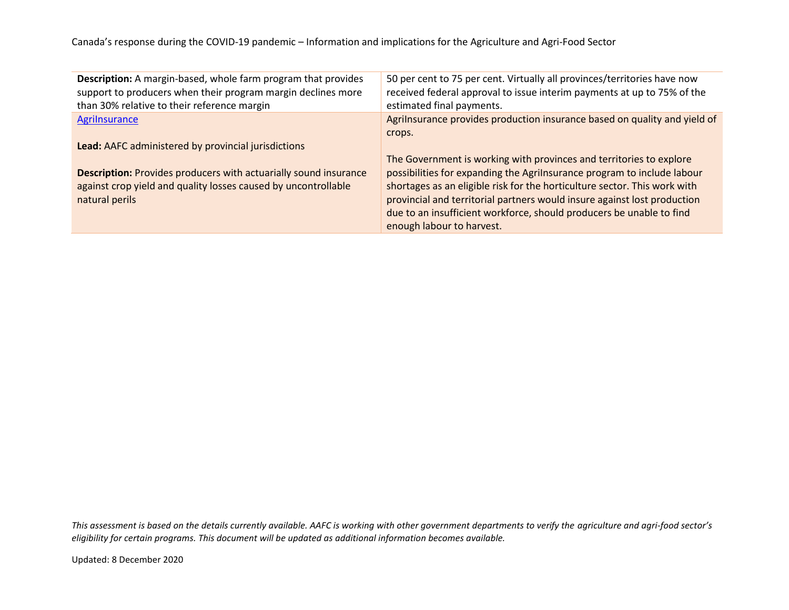Canada's response during the COVID-19 pandemic – Information and implications for the Agriculture and Agri-Food Sector

| Description: A margin-based, whole farm program that provides<br>support to producers when their program margin declines more<br>than 30% relative to their reference margin | 50 per cent to 75 per cent. Virtually all provinces/territories have now<br>received federal approval to issue interim payments at up to 75% of the<br>estimated final payments. |
|------------------------------------------------------------------------------------------------------------------------------------------------------------------------------|----------------------------------------------------------------------------------------------------------------------------------------------------------------------------------|
| Agrilnsurance                                                                                                                                                                | Agrilnsurance provides production insurance based on quality and yield of                                                                                                        |
|                                                                                                                                                                              | crops.                                                                                                                                                                           |
| Lead: AAFC administered by provincial jurisdictions                                                                                                                          |                                                                                                                                                                                  |
|                                                                                                                                                                              | The Government is working with provinces and territories to explore                                                                                                              |
| <b>Description:</b> Provides producers with actuarially sound insurance                                                                                                      | possibilities for expanding the Agrilnsurance program to include labour                                                                                                          |
| against crop yield and quality losses caused by uncontrollable                                                                                                               | shortages as an eligible risk for the horticulture sector. This work with                                                                                                        |
| natural perils                                                                                                                                                               | provincial and territorial partners would insure against lost production                                                                                                         |
|                                                                                                                                                                              | due to an insufficient workforce, should producers be unable to find                                                                                                             |
|                                                                                                                                                                              | enough labour to harvest.                                                                                                                                                        |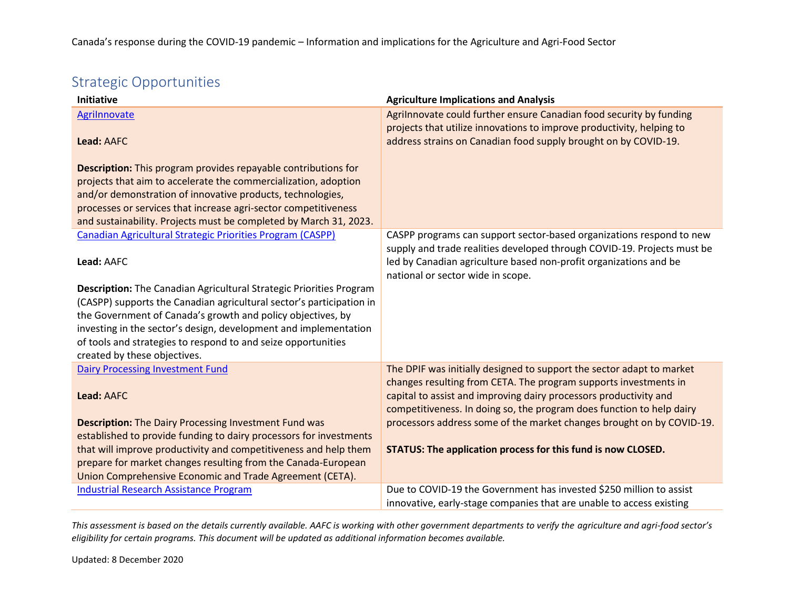# Strategic Opportunities

| <b>Initiative</b>                                                          | <b>Agriculture Implications and Analysis</b>                                                                                                    |
|----------------------------------------------------------------------------|-------------------------------------------------------------------------------------------------------------------------------------------------|
| <b>Agrilnnovate</b>                                                        | Agrilnnovate could further ensure Canadian food security by funding<br>projects that utilize innovations to improve productivity, helping to    |
| Lead: AAFC                                                                 | address strains on Canadian food supply brought on by COVID-19.                                                                                 |
| <b>Description:</b> This program provides repayable contributions for      |                                                                                                                                                 |
| projects that aim to accelerate the commercialization, adoption            |                                                                                                                                                 |
| and/or demonstration of innovative products, technologies,                 |                                                                                                                                                 |
| processes or services that increase agri-sector competitiveness            |                                                                                                                                                 |
| and sustainability. Projects must be completed by March 31, 2023.          |                                                                                                                                                 |
| Canadian Agricultural Strategic Priorities Program (CASPP)                 | CASPP programs can support sector-based organizations respond to new<br>supply and trade realities developed through COVID-19. Projects must be |
| Lead: AAFC                                                                 | led by Canadian agriculture based non-profit organizations and be<br>national or sector wide in scope.                                          |
| <b>Description:</b> The Canadian Agricultural Strategic Priorities Program |                                                                                                                                                 |
| (CASPP) supports the Canadian agricultural sector's participation in       |                                                                                                                                                 |
| the Government of Canada's growth and policy objectives, by                |                                                                                                                                                 |
| investing in the sector's design, development and implementation           |                                                                                                                                                 |
| of tools and strategies to respond to and seize opportunities              |                                                                                                                                                 |
| created by these objectives.                                               |                                                                                                                                                 |
| <b>Dairy Processing Investment Fund</b>                                    | The DPIF was initially designed to support the sector adapt to market                                                                           |
| Lead: AAFC                                                                 | changes resulting from CETA. The program supports investments in<br>capital to assist and improving dairy processors productivity and           |
|                                                                            | competitiveness. In doing so, the program does function to help dairy                                                                           |
| <b>Description:</b> The Dairy Processing Investment Fund was               | processors address some of the market changes brought on by COVID-19.                                                                           |
| established to provide funding to dairy processors for investments         |                                                                                                                                                 |
| that will improve productivity and competitiveness and help them           | STATUS: The application process for this fund is now CLOSED.                                                                                    |
| prepare for market changes resulting from the Canada-European              |                                                                                                                                                 |
| Union Comprehensive Economic and Trade Agreement (CETA).                   |                                                                                                                                                 |
| <b>Industrial Research Assistance Program</b>                              | Due to COVID-19 the Government has invested \$250 million to assist<br>innovative, early-stage companies that are unable to access existing     |